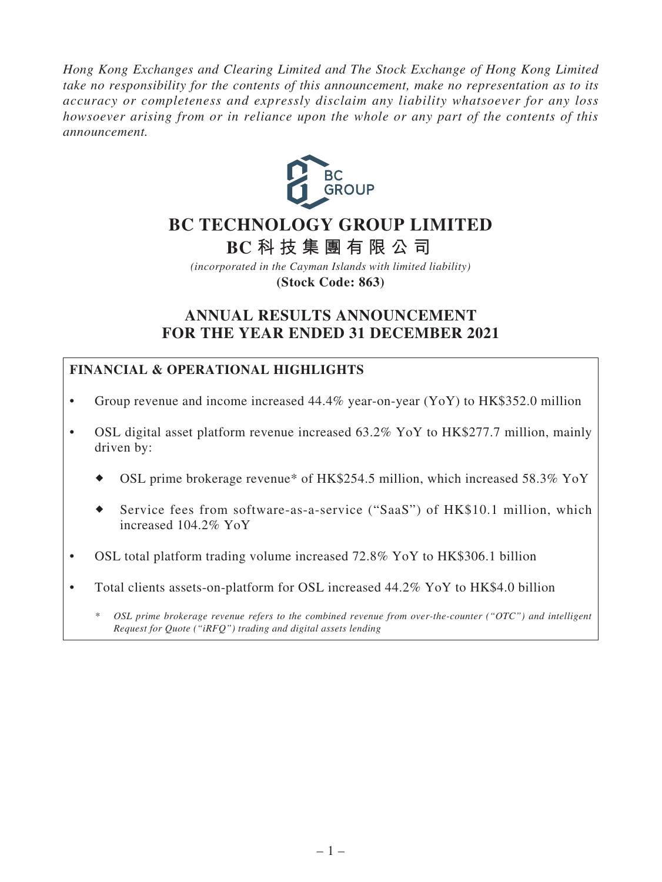*Hong Kong Exchanges and Clearing Limited and The Stock Exchange of Hong Kong Limited take no responsibility for the contents of this announcement, make no representation as to its accuracy or completeness and expressly disclaim any liability whatsoever for any loss howsoever arising from or in reliance upon the whole or any part of the contents of this announcement.*



# **BC TECHNOLOGY GROUP LIMITED**

**BC 科技集團有限公司**

*(incorporated in the Cayman Islands with limited liability)* **(Stock Code: 863)**

# **ANNUAL RESULTS ANNOUNCEMENT FOR THE YEAR ENDED 31 DECEMBER 2021**

# **FINANCIAL & OPERATIONAL HIGHLIGHTS**

- Group revenue and income increased 44.4% year-on-year (YoY) to HK\$352.0 million
- OSL digital asset platform revenue increased  $63.2\%$  YoY to HK\$277.7 million, mainly driven by:
	- OSL prime brokerage revenue\* of HK\$254.5 million, which increased 58.3% YoY
	- Service fees from software-as-a-service ("SaaS") of HK\$10.1 million, which increased 104.2% YoY
- OSL total platform trading volume increased 72.8% YoY to HK\$306.1 billion
- Total clients assets-on-platform for OSL increased 44.2% YoY to HK\$4.0 billion

*\* OSL prime brokerage revenue refers to the combined revenue from over-the-counter ("OTC") and intelligent Request for Quote ("iRFQ") trading and digital assets lending*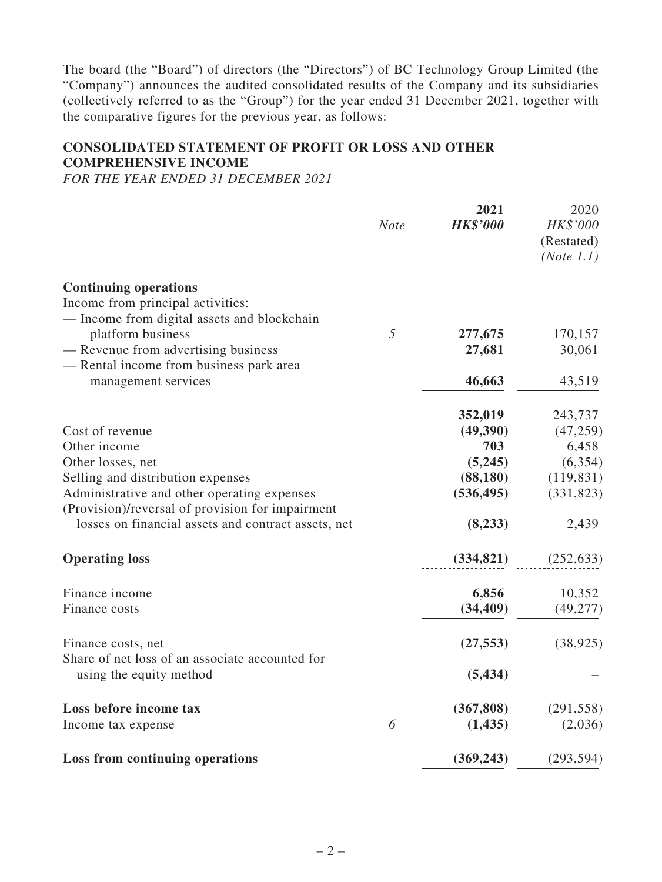The board (the "Board") of directors (the "Directors") of BC Technology Group Limited (the "Company") announces the audited consolidated results of the Company and its subsidiaries (collectively referred to as the "Group") for the year ended 31 December 2021, together with the comparative figures for the previous year, as follows:

# **CONSOLIDATED STATEMENT OF PROFIT OR LOSS AND OTHER COMPREHENSIVE INCOME**

*FOR THE YEAR ENDED 31 DECEMBER 2021*

|                                                                  | <b>Note</b> | 2021<br><b>HK\$'000</b> | 2020<br>HK\$'000         |
|------------------------------------------------------------------|-------------|-------------------------|--------------------------|
|                                                                  |             |                         | (Restated)<br>(Note 1.1) |
| <b>Continuing operations</b>                                     |             |                         |                          |
| Income from principal activities:                                |             |                         |                          |
| - Income from digital assets and blockchain<br>platform business | 5           |                         | 170,157                  |
| - Revenue from advertising business                              |             | 277,675<br>27,681       | 30,061                   |
| - Rental income from business park area                          |             |                         |                          |
| management services                                              |             | 46,663                  | 43,519                   |
|                                                                  |             | 352,019                 | 243,737                  |
| Cost of revenue                                                  |             | (49,390)                | (47, 259)                |
| Other income                                                     |             | 703                     | 6,458                    |
| Other losses, net                                                |             | (5,245)                 | (6, 354)                 |
| Selling and distribution expenses                                |             | (88,180)                | (119, 831)               |
| Administrative and other operating expenses                      |             | (536, 495)              | (331, 823)               |
| (Provision)/reversal of provision for impairment                 |             |                         |                          |
| losses on financial assets and contract assets, net              |             | (8, 233)                | 2,439                    |
| <b>Operating loss</b>                                            |             | (334, 821)              | (252, 633)               |
| Finance income                                                   |             | 6,856                   | 10,352                   |
| Finance costs                                                    |             | (34, 409)               | (49, 277)                |
| Finance costs, net                                               |             | (27, 553)               | (38, 925)                |
| Share of net loss of an associate accounted for                  |             |                         |                          |
| using the equity method                                          |             | (5, 434)                |                          |
| Loss before income tax                                           |             | (367, 808)              | (291, 558)               |
| Income tax expense                                               | 6           | (1, 435)                | (2,036)                  |
| <b>Loss from continuing operations</b>                           |             | (369, 243)              | (293, 594)               |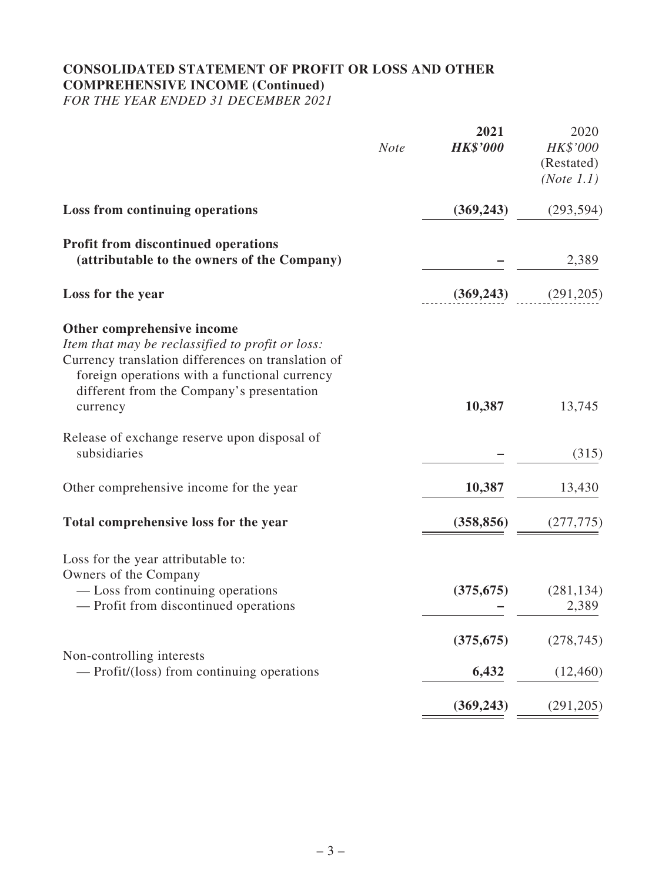# **CONSOLIDATED STATEMENT OF PROFIT OR LOSS AND OTHER COMPREHENSIVE INCOME (Continued)**

*FOR THE YEAR ENDED 31 DECEMBER 2021*

|                                                                                                                                                                                                                                                | <b>Note</b> | 2021<br><b>HK\$'000</b> | 2020<br>HK\$'000<br>(Restated)<br>(Note 1.1) |
|------------------------------------------------------------------------------------------------------------------------------------------------------------------------------------------------------------------------------------------------|-------------|-------------------------|----------------------------------------------|
| <b>Loss from continuing operations</b>                                                                                                                                                                                                         |             | (369, 243)              | (293, 594)                                   |
| <b>Profit from discontinued operations</b><br>(attributable to the owners of the Company)                                                                                                                                                      |             |                         | 2,389                                        |
| Loss for the year                                                                                                                                                                                                                              |             | (369, 243)              | (291,205)                                    |
| Other comprehensive income<br>Item that may be reclassified to profit or loss:<br>Currency translation differences on translation of<br>foreign operations with a functional currency<br>different from the Company's presentation<br>currency |             | 10,387                  | 13,745                                       |
| Release of exchange reserve upon disposal of<br>subsidiaries                                                                                                                                                                                   |             |                         | (315)                                        |
| Other comprehensive income for the year                                                                                                                                                                                                        |             | 10,387                  | 13,430                                       |
| Total comprehensive loss for the year                                                                                                                                                                                                          |             | (358, 856)              | (277, 775)                                   |
| Loss for the year attributable to:<br>Owners of the Company<br>— Loss from continuing operations<br>- Profit from discontinued operations                                                                                                      |             | (375, 675)              | (281, 134)<br>2,389                          |
| Non-controlling interests<br>— Profit/(loss) from continuing operations                                                                                                                                                                        |             | (375, 675)<br>6,432     | (278, 745)<br>(12, 460)                      |
|                                                                                                                                                                                                                                                |             | (369, 243)              | (291, 205)                                   |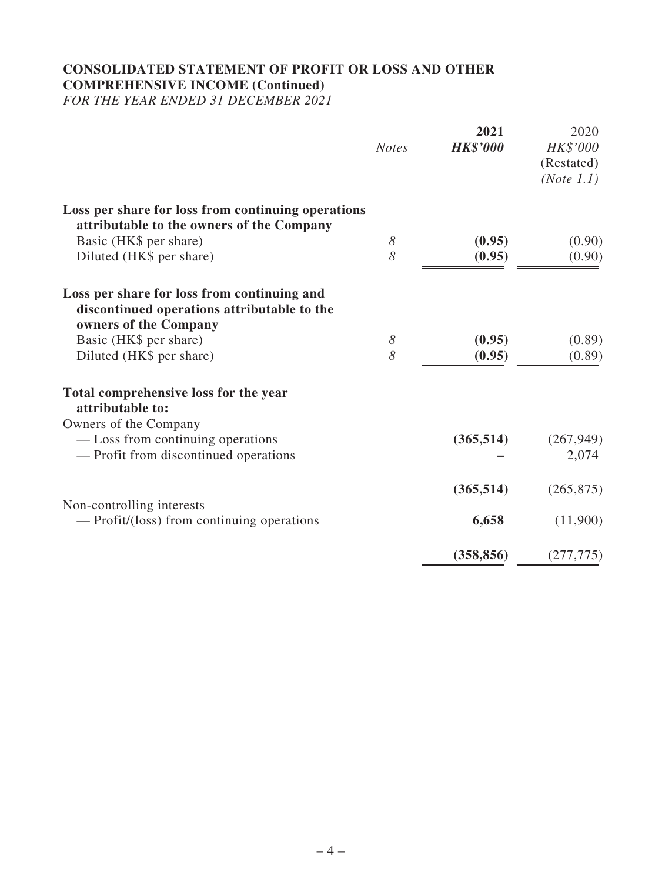# **CONSOLIDATED STATEMENT OF PROFIT OR LOSS AND OTHER COMPREHENSIVE INCOME (Continued)**

*FOR THE YEAR ENDED 31 DECEMBER 2021*

|                                                                                                                           | <b>Notes</b> | 2021<br><b>HK\$'000</b> | 2020<br>HK\$'000<br>(Restated)<br>(Note 1.1) |
|---------------------------------------------------------------------------------------------------------------------------|--------------|-------------------------|----------------------------------------------|
| Loss per share for loss from continuing operations<br>attributable to the owners of the Company<br>Basic (HK\$ per share) | 8            | (0.95)                  | (0.90)                                       |
| Diluted (HK\$ per share)                                                                                                  | 8            | (0.95)                  | (0.90)                                       |
| Loss per share for loss from continuing and<br>discontinued operations attributable to the<br>owners of the Company       |              |                         |                                              |
| Basic (HK\$ per share)                                                                                                    | 8            | (0.95)                  | (0.89)                                       |
| Diluted (HK\$ per share)                                                                                                  | 8            | (0.95)                  | (0.89)                                       |
| Total comprehensive loss for the year<br>attributable to:                                                                 |              |                         |                                              |
| Owners of the Company                                                                                                     |              |                         |                                              |
| — Loss from continuing operations                                                                                         |              | (365, 514)              | (267, 949)                                   |
| - Profit from discontinued operations                                                                                     |              |                         | 2,074                                        |
|                                                                                                                           |              | (365, 514)              | (265, 875)                                   |
| Non-controlling interests<br>— Profit/(loss) from continuing operations                                                   |              | 6,658                   | (11,900)                                     |
|                                                                                                                           |              |                         |                                              |
|                                                                                                                           |              | (358, 856)              | (277, 775)                                   |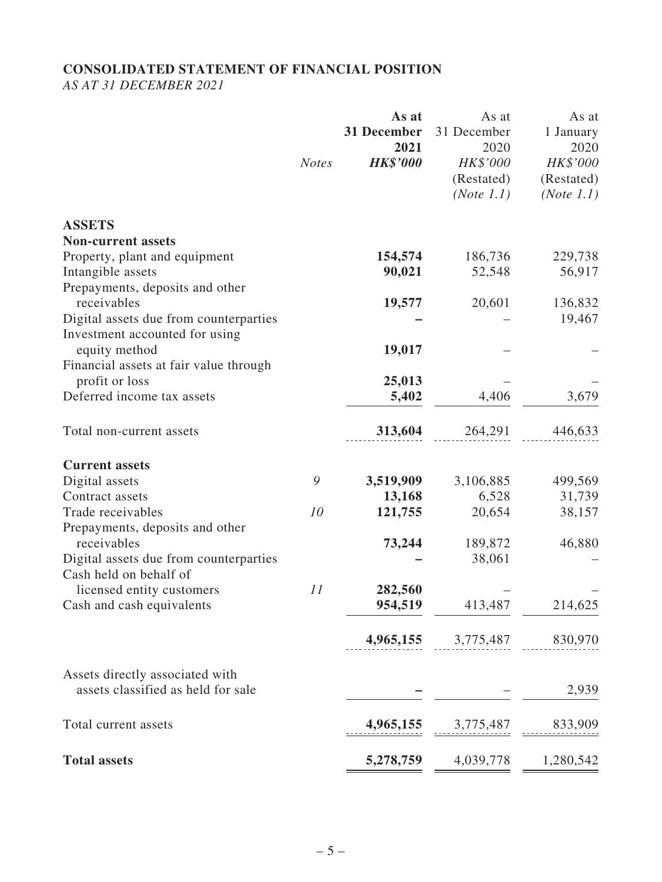# **CONSOLIDATED STATEMENT OF FINANCIAL POSITION**

*AS AT 31 DECEMBER 2021*

|                                                      | <b>Notes</b> | As at<br>31 December<br>2021<br><b>HK\$'000</b> | As at<br>31 December<br>2020<br>HK\$'000<br>(Restated)<br>(Note 1.1) | As at<br>1 January<br>2020<br>HK\$'000<br>(Restated)<br>(Note 1.1) |
|------------------------------------------------------|--------------|-------------------------------------------------|----------------------------------------------------------------------|--------------------------------------------------------------------|
| <b>ASSETS</b>                                        |              |                                                 |                                                                      |                                                                    |
| <b>Non-current assets</b>                            |              |                                                 |                                                                      |                                                                    |
| Property, plant and equipment                        |              | 154,574                                         | 186,736                                                              | 229,738                                                            |
| Intangible assets<br>Prepayments, deposits and other |              | 90,021                                          | 52,548                                                               | 56,917                                                             |
| receivables                                          |              | 19,577                                          | 20,601                                                               | 136,832                                                            |
| Digital assets due from counterparties               |              |                                                 |                                                                      | 19,467                                                             |
| Investment accounted for using                       |              |                                                 |                                                                      |                                                                    |
| equity method                                        |              | 19,017                                          |                                                                      |                                                                    |
| Financial assets at fair value through               |              |                                                 |                                                                      |                                                                    |
| profit or loss                                       |              | 25,013                                          |                                                                      |                                                                    |
| Deferred income tax assets                           |              | 5,402                                           | 4,406                                                                | 3,679                                                              |
| Total non-current assets                             |              | 313,604                                         | 264,291                                                              | 446,633                                                            |
| <b>Current assets</b>                                |              |                                                 |                                                                      |                                                                    |
| Digital assets                                       | 9            | 3,519,909                                       | 3,106,885                                                            | 499,569                                                            |
| Contract assets                                      |              | 13,168                                          | 6,528                                                                | 31,739                                                             |
| Trade receivables                                    | 10           | 121,755                                         | 20,654                                                               | 38,157                                                             |
| Prepayments, deposits and other                      |              |                                                 |                                                                      |                                                                    |
| receivables                                          |              | 73,244                                          | 189,872                                                              | 46,880                                                             |
| Digital assets due from counterparties               |              |                                                 | 38,061                                                               |                                                                    |
| Cash held on behalf of                               |              |                                                 |                                                                      |                                                                    |
| licensed entity customers                            | 11           | 282,560                                         |                                                                      |                                                                    |
| Cash and cash equivalents                            |              | 954,519                                         | 413,487                                                              | 214,625                                                            |
|                                                      |              | 4,965,155                                       | 3,775,487                                                            | 830,970                                                            |
| Assets directly associated with                      |              |                                                 |                                                                      |                                                                    |
| assets classified as held for sale                   |              |                                                 |                                                                      | 2,939                                                              |
| Total current assets                                 |              | 4,965,155                                       | 3,775,487                                                            | 833,909                                                            |
| <b>Total assets</b>                                  |              | 5,278,759                                       | 4,039,778                                                            | 1,280,542                                                          |
|                                                      |              |                                                 |                                                                      |                                                                    |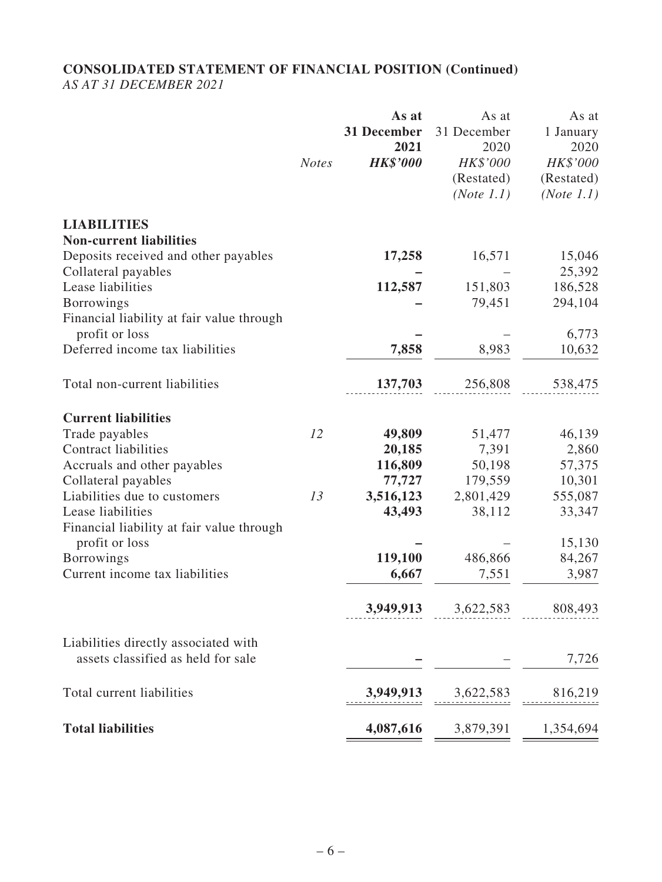### **CONSOLIDATED STATEMENT OF FINANCIAL POSITION (Continued)** *AS AT 31 DECEMBER 2021*

| <b>Notes</b>                                                | <b>HK\$'000</b> |                                      | 2020                                 |
|-------------------------------------------------------------|-----------------|--------------------------------------|--------------------------------------|
|                                                             |                 | HK\$'000<br>(Restated)<br>(Note 1.1) | HK\$'000<br>(Restated)<br>(Note 1.1) |
| <b>LIABILITIES</b><br><b>Non-current liabilities</b>        |                 |                                      |                                      |
| Deposits received and other payables                        | 17,258          | 16,571                               | 15,046                               |
| Collateral payables                                         |                 |                                      | 25,392                               |
| Lease liabilities                                           | 112,587         | 151,803                              | 186,528                              |
| <b>Borrowings</b>                                           |                 | 79,451                               | 294,104                              |
| Financial liability at fair value through                   |                 |                                      |                                      |
| profit or loss                                              |                 |                                      | 6,773                                |
| Deferred income tax liabilities                             | 7,858           | 8,983                                | 10,632                               |
| Total non-current liabilities                               | 137,703         | 256,808                              | 538,475                              |
| <b>Current liabilities</b>                                  |                 |                                      |                                      |
| Trade payables<br>12                                        | 49,809          | 51,477                               | 46,139                               |
| <b>Contract liabilities</b>                                 | 20,185          | 7,391                                | 2,860                                |
| Accruals and other payables                                 | 116,809         | 50,198                               | 57,375                               |
| Collateral payables                                         | 77,727          | 179,559                              | 10,301                               |
| Liabilities due to customers<br>13                          | 3,516,123       | 2,801,429                            | 555,087                              |
| Lease liabilities                                           | 43,493          | 38,112                               | 33,347                               |
| Financial liability at fair value through<br>profit or loss |                 |                                      | 15,130                               |
| <b>Borrowings</b>                                           | 119,100         | 486,866                              | 84,267                               |
| Current income tax liabilities                              | 6,667           | 7,551                                | 3,987                                |
|                                                             |                 |                                      |                                      |
|                                                             |                 | <b>3,949,913</b> 3,622,583           | 808,493                              |
| Liabilities directly associated with                        |                 |                                      |                                      |
| assets classified as held for sale                          |                 |                                      | 7,726                                |
| Total current liabilities                                   | 3,949,913       | 3,622,583                            | 816,219                              |
| <b>Total liabilities</b>                                    | 4,087,616       | 3,879,391                            | 1,354,694                            |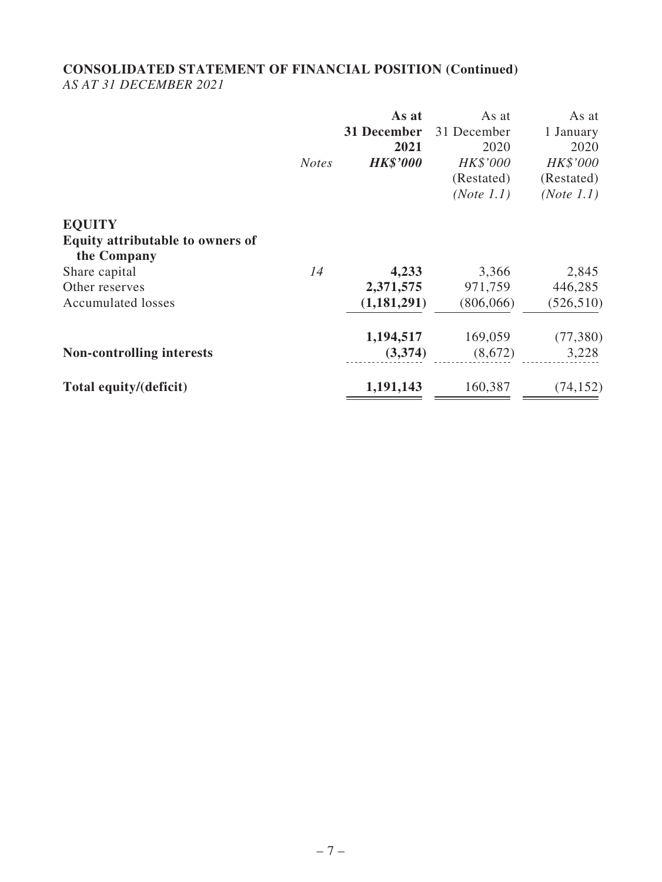### **CONSOLIDATED STATEMENT OF FINANCIAL POSITION (Continued)** *AS AT 31 DECEMBER 2021*

|                                  |              | As at           | As at       | As at      |
|----------------------------------|--------------|-----------------|-------------|------------|
|                                  |              | 31 December     | 31 December | 1 January  |
|                                  |              | 2021            | 2020        | 2020       |
|                                  | <b>Notes</b> | <b>HK\$'000</b> | HK\$'000    | HK\$'000   |
|                                  |              |                 | (Restated)  | (Restated) |
|                                  |              |                 | (Note 1.1)  | (Note 1.1) |
| <b>EQUITY</b>                    |              |                 |             |            |
| Equity attributable to owners of |              |                 |             |            |
| the Company                      |              |                 |             |            |
| Share capital                    | 14           | 4,233           | 3,366       | 2,845      |
| Other reserves                   |              | 2,371,575       | 971,759     | 446,285    |
| <b>Accumulated losses</b>        |              | (1,181,291)     | (806, 066)  | (526, 510) |
|                                  |              | 1,194,517       | 169,059     | (77, 380)  |
| <b>Non-controlling interests</b> |              | (3,374)         | (8,672)     | 3,228      |
| Total equity/(deficit)           |              | 1,191,143       | 160,387     | (74, 152)  |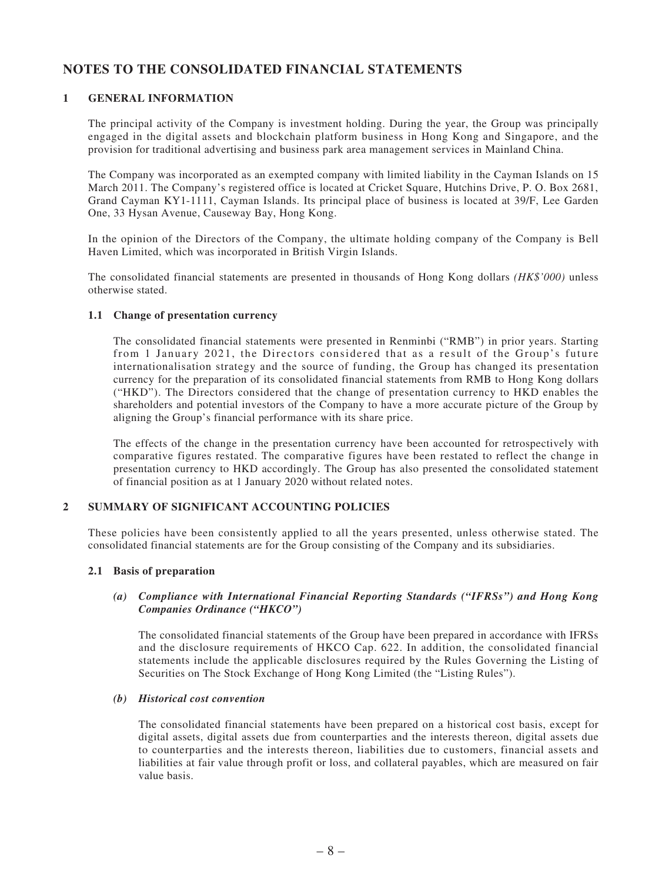## **NOTES TO THE CONSOLIDATED FINANCIAL STATEMENTS**

#### **1 GENERAL INFORMATION**

The principal activity of the Company is investment holding. During the year, the Group was principally engaged in the digital assets and blockchain platform business in Hong Kong and Singapore, and the provision for traditional advertising and business park area management services in Mainland China.

The Company was incorporated as an exempted company with limited liability in the Cayman Islands on 15 March 2011. The Company's registered office is located at Cricket Square, Hutchins Drive, P. O. Box 2681, Grand Cayman KY1-1111, Cayman Islands. Its principal place of business is located at 39/F, Lee Garden One, 33 Hysan Avenue, Causeway Bay, Hong Kong.

In the opinion of the Directors of the Company, the ultimate holding company of the Company is Bell Haven Limited, which was incorporated in British Virgin Islands.

The consolidated financial statements are presented in thousands of Hong Kong dollars *(HK\$'000)* unless otherwise stated.

#### **1.1 Change of presentation currency**

The consolidated financial statements were presented in Renminbi ("RMB") in prior years. Starting from 1 January 2021, the Directors considered that as a result of the Group's future internationalisation strategy and the source of funding, the Group has changed its presentation currency for the preparation of its consolidated financial statements from RMB to Hong Kong dollars ("HKD"). The Directors considered that the change of presentation currency to HKD enables the shareholders and potential investors of the Company to have a more accurate picture of the Group by aligning the Group's financial performance with its share price.

The effects of the change in the presentation currency have been accounted for retrospectively with comparative figures restated. The comparative figures have been restated to reflect the change in presentation currency to HKD accordingly. The Group has also presented the consolidated statement of financial position as at 1 January 2020 without related notes.

#### **2 SUMMARY OF SIGNIFICANT ACCOUNTING POLICIES**

These policies have been consistently applied to all the years presented, unless otherwise stated. The consolidated financial statements are for the Group consisting of the Company and its subsidiaries.

#### **2.1 Basis of preparation**

#### *(a) Compliance with International Financial Reporting Standards ("IFRSs") and Hong Kong Companies Ordinance ("HKCO")*

The consolidated financial statements of the Group have been prepared in accordance with IFRSs and the disclosure requirements of HKCO Cap. 622. In addition, the consolidated financial statements include the applicable disclosures required by the Rules Governing the Listing of Securities on The Stock Exchange of Hong Kong Limited (the "Listing Rules").

#### *(b) Historical cost convention*

The consolidated financial statements have been prepared on a historical cost basis, except for digital assets, digital assets due from counterparties and the interests thereon, digital assets due to counterparties and the interests thereon, liabilities due to customers, financial assets and liabilities at fair value through profit or loss, and collateral payables, which are measured on fair value basis.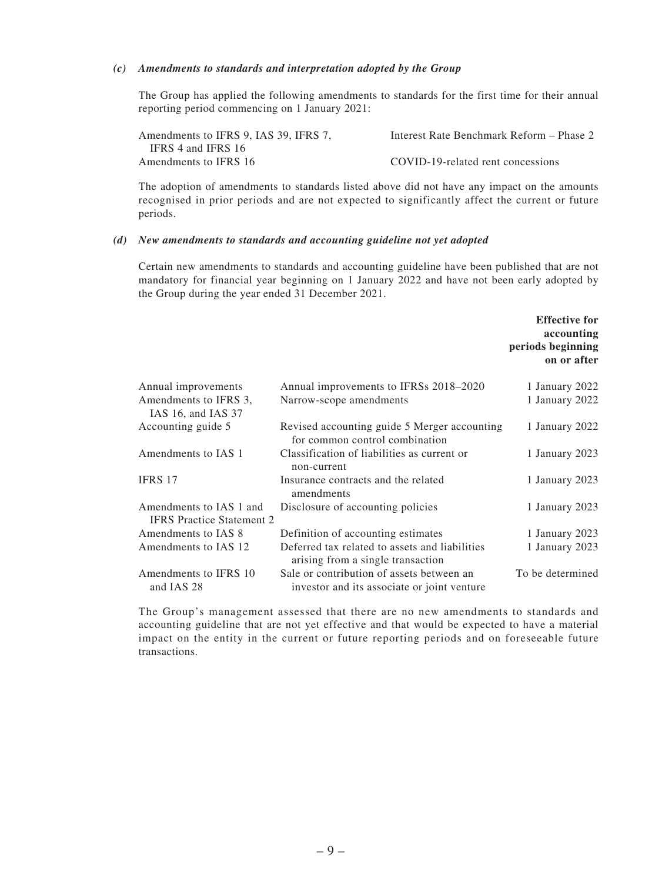#### *(c) Amendments to standards and interpretation adopted by the Group*

The Group has applied the following amendments to standards for the first time for their annual reporting period commencing on 1 January 2021:

| Amendments to IFRS 9, IAS 39, IFRS 7, | Interest Rate Benchmark Reform – Phase 2 |
|---------------------------------------|------------------------------------------|
| IFRS 4 and IFRS 16                    |                                          |
| Amendments to IFRS 16                 | COVID-19-related rent concessions        |

The adoption of amendments to standards listed above did not have any impact on the amounts recognised in prior periods and are not expected to significantly affect the current or future periods.

#### *(d) New amendments to standards and accounting guideline not yet adopted*

Certain new amendments to standards and accounting guideline have been published that are not mandatory for financial year beginning on 1 January 2022 and have not been early adopted by the Group during the year ended 31 December 2021.

|                                                                                          | <b>Effective for</b><br>accounting<br>periods beginning<br>on or after |
|------------------------------------------------------------------------------------------|------------------------------------------------------------------------|
| Annual improvements to IFRSs 2018-2020                                                   | 1 January 2022                                                         |
| Narrow-scope amendments                                                                  | 1 January 2022                                                         |
| Revised accounting guide 5 Merger accounting<br>for common control combination           | 1 January 2022                                                         |
| Classification of liabilities as current or<br>non-current                               | 1 January 2023                                                         |
| Insurance contracts and the related<br>amendments                                        | 1 January 2023                                                         |
| Disclosure of accounting policies                                                        | 1 January 2023                                                         |
| Definition of accounting estimates                                                       | 1 January 2023                                                         |
| Deferred tax related to assets and liabilities<br>arising from a single transaction      | 1 January 2023                                                         |
| Sale or contribution of assets between an<br>investor and its associate or joint venture | To be determined                                                       |
|                                                                                          |                                                                        |

The Group's management assessed that there are no new amendments to standards and accounting guideline that are not yet effective and that would be expected to have a material impact on the entity in the current or future reporting periods and on foreseeable future transactions.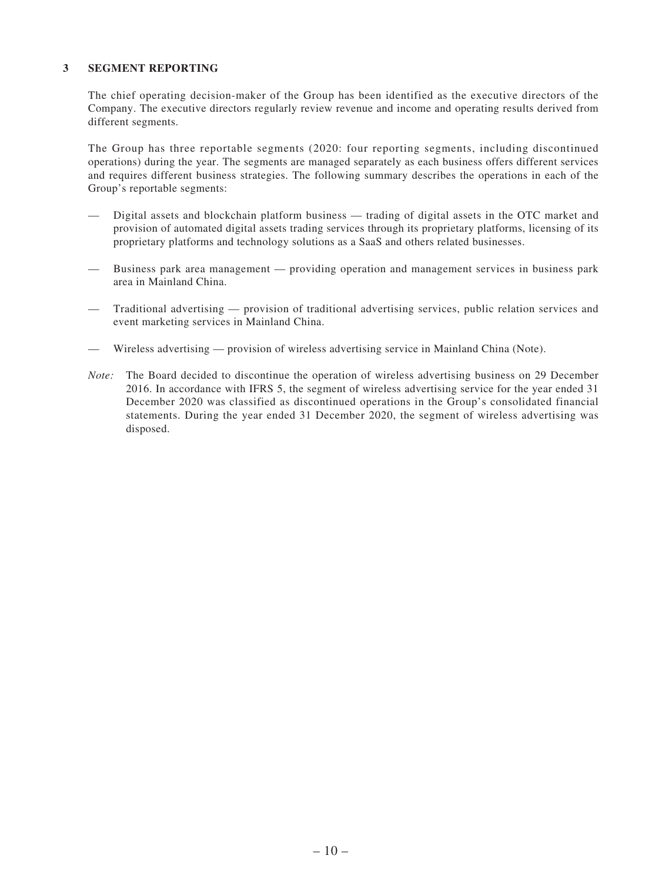#### **3 SEGMENT REPORTING**

The chief operating decision-maker of the Group has been identified as the executive directors of the Company. The executive directors regularly review revenue and income and operating results derived from different segments.

The Group has three reportable segments (2020: four reporting segments, including discontinued operations) during the year. The segments are managed separately as each business offers different services and requires different business strategies. The following summary describes the operations in each of the Group's reportable segments:

- Digital assets and blockchain platform business trading of digital assets in the OTC market and provision of automated digital assets trading services through its proprietary platforms, licensing of its proprietary platforms and technology solutions as a SaaS and others related businesses.
- Business park area management providing operation and management services in business park area in Mainland China.
- Traditional advertising provision of traditional advertising services, public relation services and event marketing services in Mainland China.
- — Wireless advertising provision of wireless advertising service in Mainland China (Note).
- *Note:* The Board decided to discontinue the operation of wireless advertising business on 29 December 2016. In accordance with IFRS 5, the segment of wireless advertising service for the year ended 31 December 2020 was classified as discontinued operations in the Group's consolidated financial statements. During the year ended 31 December 2020, the segment of wireless advertising was disposed.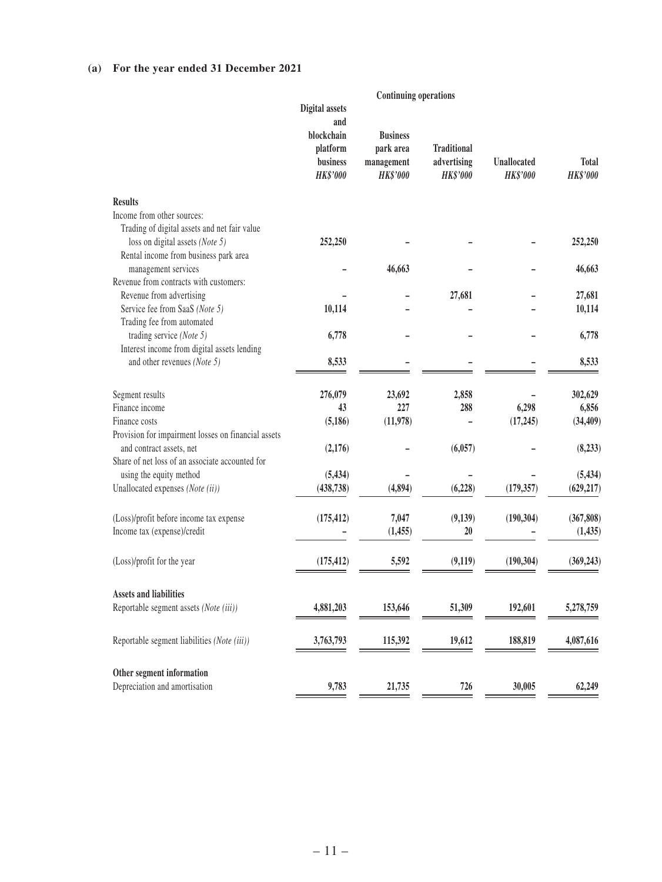### **(a) For the year ended 31 December 2021**

|                                                                            |                                                                                       | <b>Continuing operations</b>                                  |                                                      |                                |                                 |
|----------------------------------------------------------------------------|---------------------------------------------------------------------------------------|---------------------------------------------------------------|------------------------------------------------------|--------------------------------|---------------------------------|
|                                                                            | <b>Digital</b> assets<br>and<br>blockchain<br>platform<br>business<br><b>HK\$'000</b> | <b>Business</b><br>park area<br>management<br><b>HK\$'000</b> | <b>Traditional</b><br>advertising<br><b>HK\$'000</b> | Unallocated<br><b>HK\$'000</b> | <b>Total</b><br><b>HK\$'000</b> |
| <b>Results</b>                                                             |                                                                                       |                                                               |                                                      |                                |                                 |
| Income from other sources:<br>Trading of digital assets and net fair value |                                                                                       |                                                               |                                                      |                                |                                 |
| loss on digital assets (Note 5)                                            | 252,250                                                                               |                                                               |                                                      |                                | 252,250                         |
| Rental income from business park area                                      |                                                                                       |                                                               |                                                      |                                |                                 |
| management services                                                        |                                                                                       | 46,663                                                        |                                                      |                                | 46,663                          |
| Revenue from contracts with customers:                                     |                                                                                       |                                                               |                                                      |                                |                                 |
| Revenue from advertising<br>Service fee from SaaS (Note 5)                 | 10,114                                                                                |                                                               | 27,681                                               |                                | 27,681<br>10,114                |
| Trading fee from automated                                                 |                                                                                       |                                                               |                                                      |                                |                                 |
| trading service (Note 5)                                                   | 6,778                                                                                 |                                                               |                                                      |                                | 6,778                           |
| Interest income from digital assets lending                                |                                                                                       |                                                               |                                                      |                                |                                 |
| and other revenues (Note 5)                                                | 8,533                                                                                 |                                                               |                                                      |                                | 8,533                           |
| Segment results                                                            | 276,079                                                                               | 23,692                                                        | 2,858                                                |                                | 302,629                         |
| Finance income                                                             | 43                                                                                    | 227                                                           | 288                                                  | 6,298                          | 6,856                           |
| Finance costs                                                              | (5, 186)                                                                              | (11,978)                                                      |                                                      | (17, 245)                      | (34, 409)                       |
| Provision for impairment losses on financial assets                        |                                                                                       |                                                               |                                                      |                                |                                 |
| and contract assets, net                                                   | (2,176)                                                                               |                                                               | (6,057)                                              |                                | (8,233)                         |
| Share of net loss of an associate accounted for                            |                                                                                       |                                                               |                                                      |                                |                                 |
| using the equity method<br>Unallocated expenses (Note (ii))                | (5, 434)<br>(438, 738)                                                                | (4, 894)                                                      | (6,228)                                              | (179, 357)                     | (5, 434)<br>(629, 217)          |
|                                                                            |                                                                                       |                                                               |                                                      |                                |                                 |
| (Loss)/profit before income tax expense                                    | (175, 412)                                                                            | 7,047                                                         | (9,139)                                              | (190, 304)                     | (367, 808)                      |
| Income tax (expense)/credit                                                |                                                                                       | (1, 455)                                                      | 20                                                   |                                | (1, 435)                        |
| (Loss)/profit for the year                                                 | (175, 412)                                                                            | 5,592                                                         | (9,119)                                              | (190, 304)                     | (369, 243)                      |
| <b>Assets and liabilities</b>                                              |                                                                                       |                                                               |                                                      |                                |                                 |
| Reportable segment assets (Note (iii))                                     | 4,881,203                                                                             | 153,646                                                       | 51,309                                               | 192,601                        | 5,278,759                       |
|                                                                            |                                                                                       |                                                               |                                                      |                                |                                 |
| Reportable segment liabilities (Note (iii))                                | 3,763,793                                                                             | 115,392                                                       | 19,612                                               | 188,819                        | 4,087,616                       |
| Other segment information                                                  |                                                                                       |                                                               |                                                      |                                |                                 |
| Depreciation and amortisation                                              | 9,783                                                                                 | 21,735                                                        | 726                                                  | 30,005                         | 62,249                          |
|                                                                            |                                                                                       |                                                               |                                                      |                                |                                 |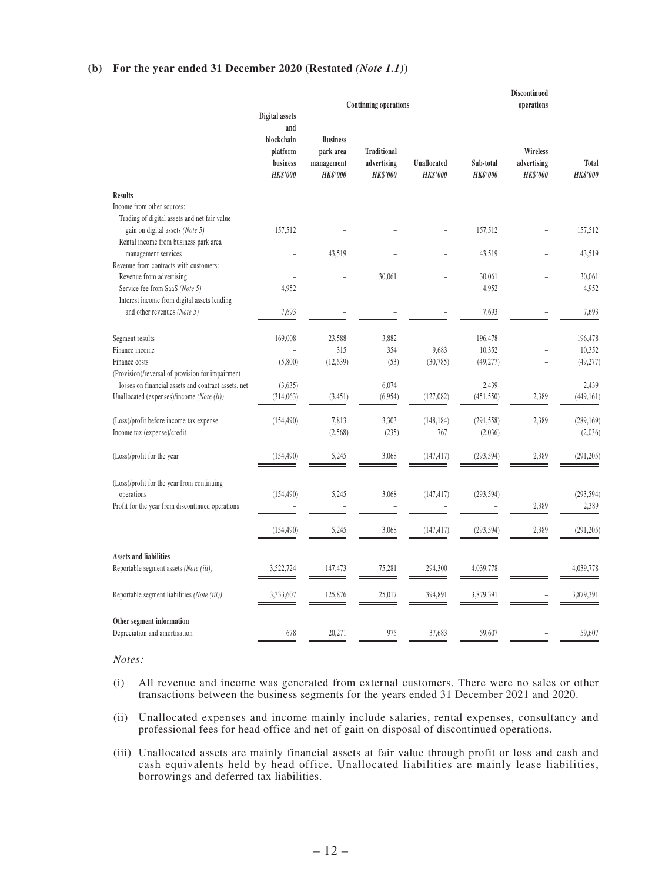#### **(b) For the year ended 31 December 2020 (Restated** *(Note 1.1)***)**

|                                                                        | <b>Digital</b> assets                                        |                                                               | <b>Continuing operations</b>                         |                                |                              | <b>Discontinued</b><br>operations          |                          |
|------------------------------------------------------------------------|--------------------------------------------------------------|---------------------------------------------------------------|------------------------------------------------------|--------------------------------|------------------------------|--------------------------------------------|--------------------------|
|                                                                        | and<br>blockchain<br>platform<br>business<br><b>HK\$'000</b> | <b>Business</b><br>park area<br>management<br><b>HK\$'000</b> | <b>Traditional</b><br>advertising<br><b>HK\$'000</b> | Unallocated<br><b>HK\$'000</b> | Sub-total<br><b>HK\$'000</b> | Wireless<br>advertising<br><b>HK\$'000</b> | Total<br><b>HK\$'000</b> |
| <b>Results</b>                                                         |                                                              |                                                               |                                                      |                                |                              |                                            |                          |
| Income from other sources:                                             |                                                              |                                                               |                                                      |                                |                              |                                            |                          |
| Trading of digital assets and net fair value                           |                                                              |                                                               |                                                      |                                |                              |                                            |                          |
| gain on digital assets (Note 5)                                        | 157,512                                                      |                                                               |                                                      |                                | 157,512                      |                                            | 157,512                  |
| Rental income from business park area                                  |                                                              |                                                               |                                                      |                                |                              |                                            |                          |
| management services<br>Revenue from contracts with customers:          |                                                              | 43,519                                                        |                                                      |                                | 43,519                       |                                            | 43,519                   |
| Revenue from advertising                                               |                                                              |                                                               | 30,061                                               |                                | 30,061                       |                                            | 30,061                   |
| Service fee from SaaS (Note 5)                                         | 4,952                                                        |                                                               |                                                      |                                | 4,952                        |                                            | 4,952                    |
| Interest income from digital assets lending                            |                                                              |                                                               |                                                      |                                |                              |                                            |                          |
| and other revenues (Note 5)                                            | 7,693                                                        |                                                               |                                                      |                                | 7,693                        |                                            | 7,693                    |
|                                                                        |                                                              |                                                               |                                                      |                                |                              |                                            |                          |
| Segment results                                                        | 169,008                                                      | 23,588                                                        | 3,882                                                | $\overline{a}$                 | 196,478                      |                                            | 196,478                  |
| Finance income                                                         | $\overline{a}$                                               | 315                                                           | 354                                                  | 9,683                          | 10,352                       | $\overline{a}$                             | 10,352                   |
| Finance costs                                                          | (5,800)                                                      | (12, 639)                                                     | (53)                                                 | (30,785)                       | (49, 277)                    |                                            | (49, 277)                |
| (Provision)/reversal of provision for impairment                       |                                                              |                                                               |                                                      |                                |                              |                                            |                          |
| losses on financial assets and contract assets, net                    | (3,635)                                                      |                                                               | 6,074                                                |                                | 2,439                        |                                            | 2,439                    |
| Unallocated (expenses)/income (Note (ii))                              | (314,063)                                                    | (3, 451)                                                      | (6,954)                                              | (127,082)                      | (451, 550)                   | 2,389                                      | (449, 161)               |
|                                                                        |                                                              |                                                               |                                                      |                                |                              |                                            |                          |
| (Loss)/profit before income tax expense<br>Income tax (expense)/credit | (154, 490)                                                   | 7,813<br>(2, 568)                                             | 3,303<br>(235)                                       | (148, 184)<br>767              | (291, 558)<br>(2,036)        | 2,389                                      | (289, 169)<br>(2,036)    |
|                                                                        |                                                              |                                                               |                                                      |                                |                              |                                            |                          |
| (Loss)/profit for the year                                             | (154, 490)                                                   | 5,245                                                         | 3,068                                                | (147, 417)                     | (293, 594)                   | 2,389                                      | (291, 205)               |
|                                                                        |                                                              |                                                               |                                                      |                                |                              |                                            |                          |
| (Loss)/profit for the year from continuing                             |                                                              |                                                               |                                                      |                                |                              |                                            |                          |
| operations                                                             | (154, 490)                                                   | 5,245                                                         | 3,068                                                | (147, 417)                     | (293, 594)                   | $\overline{a}$                             | (293, 594)               |
| Profit for the year from discontinued operations                       |                                                              |                                                               |                                                      |                                |                              | 2,389                                      | 2,389                    |
|                                                                        |                                                              |                                                               |                                                      |                                |                              |                                            |                          |
|                                                                        | (154, 490)                                                   | 5,245                                                         | 3,068                                                | (147, 417)                     | (293, 594)                   | 2,389                                      | (291, 205)               |
|                                                                        |                                                              |                                                               |                                                      |                                |                              |                                            |                          |
| <b>Assets and liabilities</b>                                          |                                                              |                                                               |                                                      |                                |                              |                                            |                          |
| Reportable segment assets (Note (iii))                                 | 3.522.724                                                    | 147.473                                                       | 75,281                                               | 294,300                        | 4.039.778                    |                                            | 4,039,778                |
|                                                                        |                                                              |                                                               |                                                      |                                |                              |                                            |                          |
| Reportable segment liabilities (Note (iii))                            | 3,333,607                                                    | 125,876                                                       | 25,017                                               | 394,891                        | 3,879,391                    |                                            | 3,879,391                |
|                                                                        |                                                              |                                                               |                                                      |                                |                              |                                            |                          |
| Other segment information<br>Depreciation and amortisation             | 678                                                          | 20,271                                                        | 975                                                  | 37,683                         | 59,607                       |                                            | 59,607                   |
|                                                                        |                                                              |                                                               |                                                      |                                |                              |                                            |                          |

*Notes:*

- (i) All revenue and income was generated from external customers. There were no sales or other transactions between the business segments for the years ended 31 December 2021 and 2020.
- (ii) Unallocated expenses and income mainly include salaries, rental expenses, consultancy and professional fees for head office and net of gain on disposal of discontinued operations.
- (iii) Unallocated assets are mainly financial assets at fair value through profit or loss and cash and cash equivalents held by head office. Unallocated liabilities are mainly lease liabilities, borrowings and deferred tax liabilities.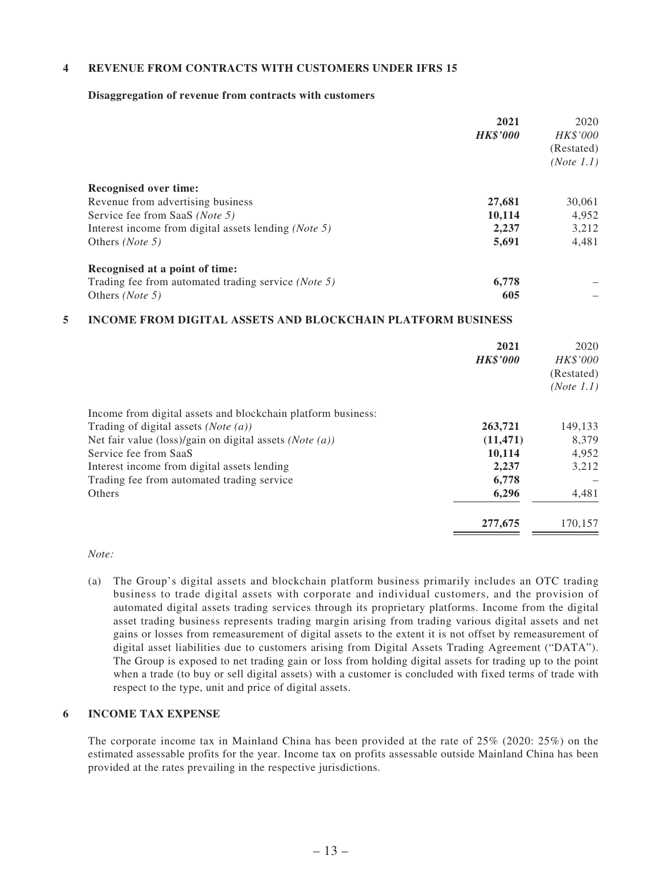#### **4 REVENUE FROM CONTRACTS WITH CUSTOMERS UNDER IFRS 15**

#### **Disaggregation of revenue from contracts with customers**

|                                                               | 2021<br><b>HK\$'000</b> | 2020<br>HK\$'000<br>(Restated)<br>(Note 1.1) |
|---------------------------------------------------------------|-------------------------|----------------------------------------------|
| <b>Recognised over time:</b>                                  |                         |                                              |
| Revenue from advertising business                             | 27,681                  | 30,061                                       |
| Service fee from SaaS (Note 5)                                | 10,114                  | 4,952                                        |
| Interest income from digital assets lending ( <i>Note 5</i> ) | 2,237                   | 3,212                                        |
| Others ( <i>Note</i> 5)                                       | 5,691                   | 4,481                                        |
| Recognised at a point of time:                                |                         |                                              |
| Trading fee from automated trading service ( <i>Note 5</i> )  | 6,778                   |                                              |
| Others ( <i>Note</i> 5)                                       | 605                     |                                              |

#### **5 INCOME FROM DIGITAL ASSETS AND BLOCKCHAIN PLATFORM BUSINESS**

|                                                                    | 2021<br><b>HK\$'000</b> | 2020<br><b>HK\$'000</b><br>(Restated)<br>(Note 1.1) |
|--------------------------------------------------------------------|-------------------------|-----------------------------------------------------|
| Income from digital assets and blockchain platform business:       |                         |                                                     |
| Trading of digital assets ( <i>Note</i> $(a)$ )                    | 263,721                 | 149,133                                             |
| Net fair value (loss)/gain on digital assets ( <i>Note</i> $(a)$ ) | (11, 471)               | 8,379                                               |
| Service fee from SaaS                                              | 10,114                  | 4,952                                               |
| Interest income from digital assets lending                        | 2,237                   | 3,212                                               |
| Trading fee from automated trading service                         | 6,778                   |                                                     |
| Others                                                             | 6,296                   | 4,481                                               |
|                                                                    | 277,675                 | 170,157                                             |

#### *Note:*

(a) The Group's digital assets and blockchain platform business primarily includes an OTC trading business to trade digital assets with corporate and individual customers, and the provision of automated digital assets trading services through its proprietary platforms. Income from the digital asset trading business represents trading margin arising from trading various digital assets and net gains or losses from remeasurement of digital assets to the extent it is not offset by remeasurement of digital asset liabilities due to customers arising from Digital Assets Trading Agreement ("DATA"). The Group is exposed to net trading gain or loss from holding digital assets for trading up to the point when a trade (to buy or sell digital assets) with a customer is concluded with fixed terms of trade with respect to the type, unit and price of digital assets.

#### **6 INCOME TAX EXPENSE**

The corporate income tax in Mainland China has been provided at the rate of 25% (2020: 25%) on the estimated assessable profits for the year. Income tax on profits assessable outside Mainland China has been provided at the rates prevailing in the respective jurisdictions.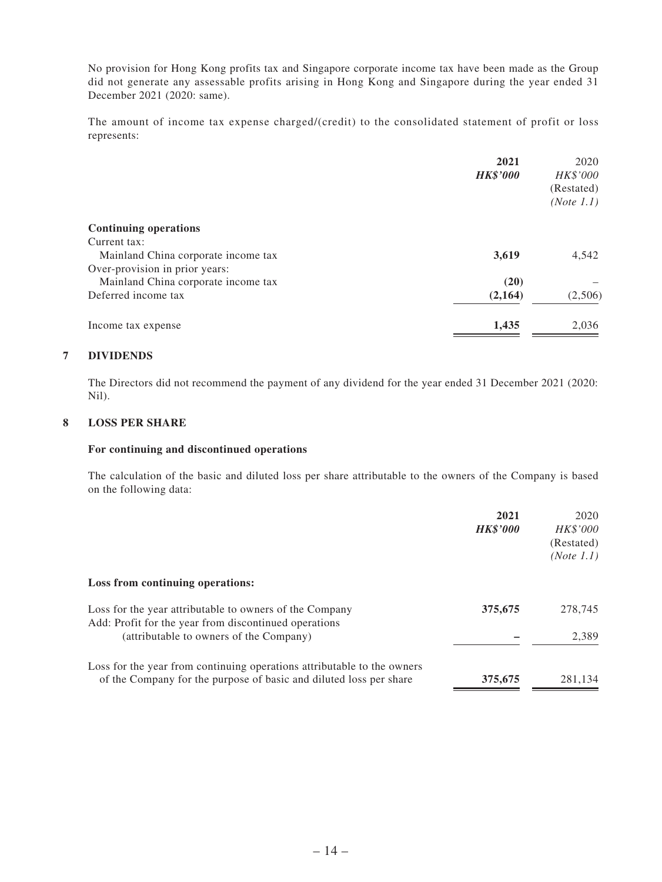No provision for Hong Kong profits tax and Singapore corporate income tax have been made as the Group did not generate any assessable profits arising in Hong Kong and Singapore during the year ended 31 December 2021 (2020: same).

The amount of income tax expense charged/(credit) to the consolidated statement of profit or loss represents:

|                                     | 2021<br><b>HK\$'000</b> | 2020<br>HK\$'000         |
|-------------------------------------|-------------------------|--------------------------|
|                                     |                         | (Restated)<br>(Note 1.1) |
| <b>Continuing operations</b>        |                         |                          |
| Current tax:                        |                         |                          |
| Mainland China corporate income tax | 3,619                   | 4,542                    |
| Over-provision in prior years:      |                         |                          |
| Mainland China corporate income tax | (20)                    |                          |
| Deferred income tax                 | (2,164)                 | (2,506)                  |
| Income tax expense                  | 1,435                   | 2,036                    |

#### **7 DIVIDENDS**

The Directors did not recommend the payment of any dividend for the year ended 31 December 2021 (2020: Nil).

#### **8 LOSS PER SHARE**

#### **For continuing and discontinued operations**

The calculation of the basic and diluted loss per share attributable to the owners of the Company is based on the following data:

|                                                                         | 2021            | 2020       |
|-------------------------------------------------------------------------|-----------------|------------|
|                                                                         | <b>HK\$'000</b> | HK\$'000   |
|                                                                         |                 | (Restated) |
|                                                                         |                 | (Note 1.1) |
| Loss from continuing operations:                                        |                 |            |
| Loss for the year attributable to owners of the Company                 | 375,675         | 278,745    |
| Add: Profit for the year from discontinued operations                   |                 |            |
| (attributable to owners of the Company)                                 |                 | 2,389      |
| Loss for the year from continuing operations attributable to the owners |                 |            |
| of the Company for the purpose of basic and diluted loss per share      | 375,675         | 281,134    |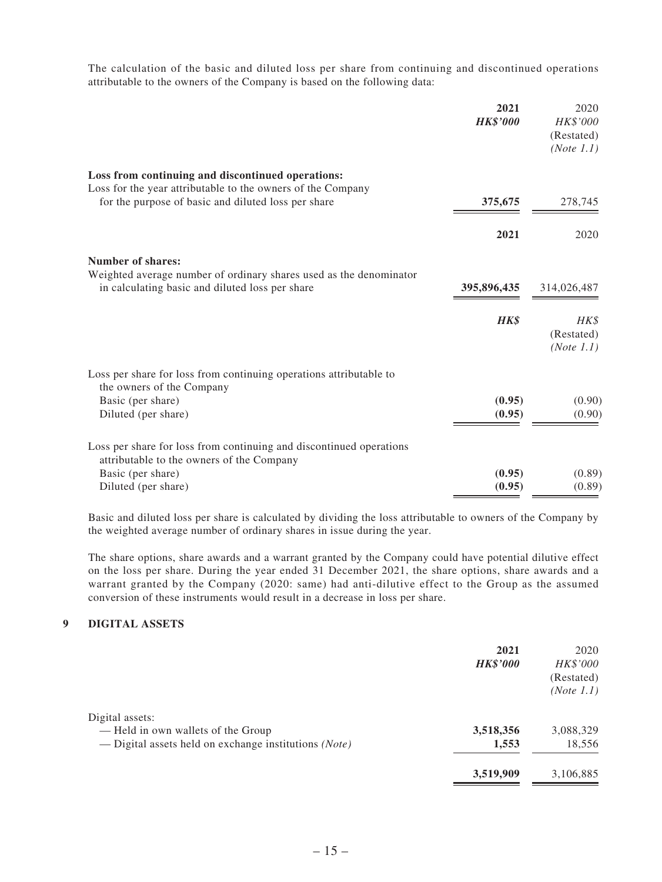The calculation of the basic and diluted loss per share from continuing and discontinued operations attributable to the owners of the Company is based on the following data:

|                                                                                                                       | 2021<br><b>HK\$'000</b> | 2020<br>HK\$'000<br>(Restated)<br>(Note 1.1) |
|-----------------------------------------------------------------------------------------------------------------------|-------------------------|----------------------------------------------|
| Loss from continuing and discontinued operations:<br>Loss for the year attributable to the owners of the Company      |                         |                                              |
| for the purpose of basic and diluted loss per share                                                                   | 375,675                 | 278,745                                      |
|                                                                                                                       | 2021                    | 2020                                         |
| <b>Number of shares:</b>                                                                                              |                         |                                              |
| Weighted average number of ordinary shares used as the denominator<br>in calculating basic and diluted loss per share | 395,896,435             | 314,026,487                                  |
|                                                                                                                       | HK\$                    | HK\$<br>(Restated)<br>(Note 1.1)             |
| Loss per share for loss from continuing operations attributable to<br>the owners of the Company                       |                         |                                              |
| Basic (per share)<br>Diluted (per share)                                                                              | (0.95)<br>(0.95)        | (0.90)<br>(0.90)                             |
| Loss per share for loss from continuing and discontinued operations<br>attributable to the owners of the Company      |                         |                                              |
| Basic (per share)<br>Diluted (per share)                                                                              | (0.95)<br>(0.95)        | (0.89)<br>(0.89)                             |

Basic and diluted loss per share is calculated by dividing the loss attributable to owners of the Company by the weighted average number of ordinary shares in issue during the year.

The share options, share awards and a warrant granted by the Company could have potential dilutive effect on the loss per share. During the year ended 31 December 2021, the share options, share awards and a warrant granted by the Company (2020: same) had anti-dilutive effect to the Group as the assumed conversion of these instruments would result in a decrease in loss per share.

### **9 DIGITAL ASSETS**

|                                                                                                                | 2021<br><b>HK\$'000</b> | 2020<br>HK\$'000<br>(Restated)<br>(Note 1.1) |
|----------------------------------------------------------------------------------------------------------------|-------------------------|----------------------------------------------|
| Digital assets:<br>— Held in own wallets of the Group<br>— Digital assets held on exchange institutions (Note) | 3,518,356<br>1,553      | 3,088,329<br>18,556                          |
|                                                                                                                | 3,519,909               | 3,106,885                                    |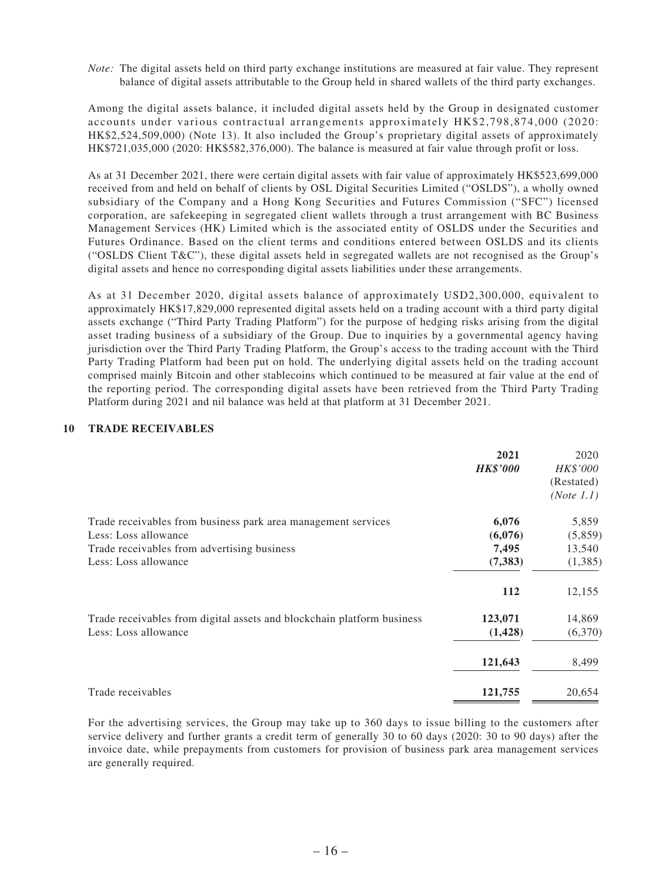*Note:* The digital assets held on third party exchange institutions are measured at fair value. They represent balance of digital assets attributable to the Group held in shared wallets of the third party exchanges.

Among the digital assets balance, it included digital assets held by the Group in designated customer accounts under various contractual arrangements approximately HK\$2,798,874,000 (2020: HK\$2,524,509,000) (Note 13). It also included the Group's proprietary digital assets of approximately HK\$721,035,000 (2020: HK\$582,376,000). The balance is measured at fair value through profit or loss.

As at 31 December 2021, there were certain digital assets with fair value of approximately HK\$523,699,000 received from and held on behalf of clients by OSL Digital Securities Limited ("OSLDS"), a wholly owned subsidiary of the Company and a Hong Kong Securities and Futures Commission ("SFC") licensed corporation, are safekeeping in segregated client wallets through a trust arrangement with BC Business Management Services (HK) Limited which is the associated entity of OSLDS under the Securities and Futures Ordinance. Based on the client terms and conditions entered between OSLDS and its clients ("OSLDS Client T&C"), these digital assets held in segregated wallets are not recognised as the Group's digital assets and hence no corresponding digital assets liabilities under these arrangements.

As at 31 December 2020, digital assets balance of approximately USD2,300,000, equivalent to approximately HK\$17,829,000 represented digital assets held on a trading account with a third party digital assets exchange ("Third Party Trading Platform") for the purpose of hedging risks arising from the digital asset trading business of a subsidiary of the Group. Due to inquiries by a governmental agency having jurisdiction over the Third Party Trading Platform, the Group's access to the trading account with the Third Party Trading Platform had been put on hold. The underlying digital assets held on the trading account comprised mainly Bitcoin and other stablecoins which continued to be measured at fair value at the end of the reporting period. The corresponding digital assets have been retrieved from the Third Party Trading Platform during 2021 and nil balance was held at that platform at 31 December 2021.

#### **10 TRADE RECEIVABLES**

|                                                                                                                                                              | 2021<br><b>HK\$'000</b>               | 2020<br>HK\$'000<br>(Restated)<br>(Note 1.1) |
|--------------------------------------------------------------------------------------------------------------------------------------------------------------|---------------------------------------|----------------------------------------------|
| Trade receivables from business park area management services<br>Less: Loss allowance<br>Trade receivables from advertising business<br>Less: Loss allowance | 6,076<br>(6,076)<br>7,495<br>(7, 383) | 5,859<br>(5,859)<br>13,540<br>(1,385)        |
| Trade receivables from digital assets and blockchain platform business<br>Less: Loss allowance                                                               | 112<br>123,071<br>(1, 428)            | 12,155<br>14,869<br>(6,370)                  |
| Trade receivables                                                                                                                                            | 121,643<br>121,755                    | 8,499<br>20,654                              |

For the advertising services, the Group may take up to 360 days to issue billing to the customers after service delivery and further grants a credit term of generally 30 to 60 days (2020: 30 to 90 days) after the invoice date, while prepayments from customers for provision of business park area management services are generally required.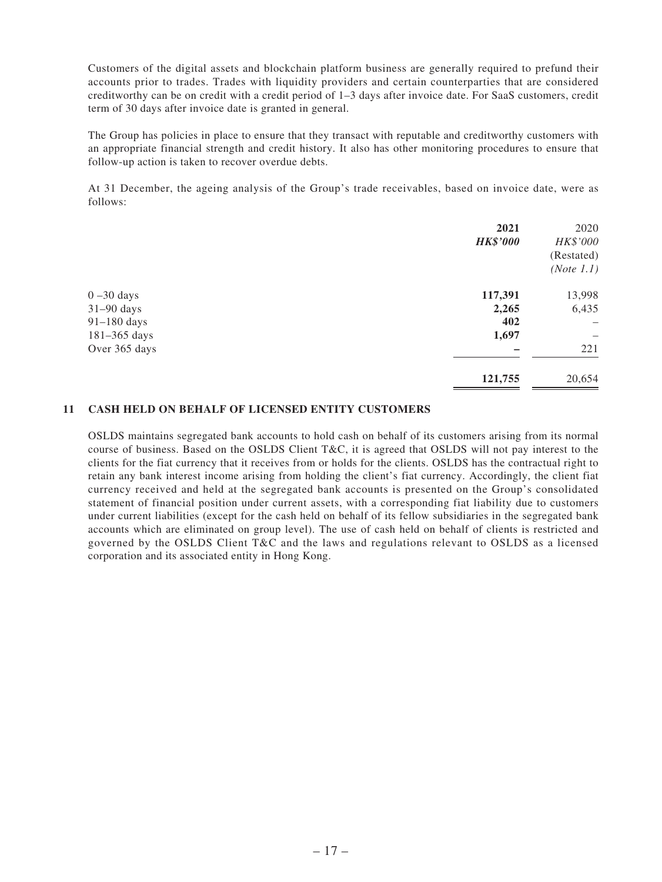Customers of the digital assets and blockchain platform business are generally required to prefund their accounts prior to trades. Trades with liquidity providers and certain counterparties that are considered creditworthy can be on credit with a credit period of 1–3 days after invoice date. For SaaS customers, credit term of 30 days after invoice date is granted in general.

The Group has policies in place to ensure that they transact with reputable and creditworthy customers with an appropriate financial strength and credit history. It also has other monitoring procedures to ensure that follow-up action is taken to recover overdue debts.

At 31 December, the ageing analysis of the Group's trade receivables, based on invoice date, were as follows:

|                  | 2021            | 2020       |
|------------------|-----------------|------------|
|                  | <b>HK\$'000</b> | HK\$'000   |
|                  |                 | (Restated) |
|                  |                 | (Note 1.1) |
| $0 - 30$ days    | 117,391         | 13,998     |
| $31-90$ days     | 2,265           | 6,435      |
| 91-180 days      | 402             |            |
| $181 - 365$ days | 1,697           |            |
| Over 365 days    |                 | 221        |
|                  | 121,755         | 20,654     |
|                  |                 |            |

#### **11 CASH HELD ON BEHALF OF LICENSED ENTITY CUSTOMERS**

OSLDS maintains segregated bank accounts to hold cash on behalf of its customers arising from its normal course of business. Based on the OSLDS Client T&C, it is agreed that OSLDS will not pay interest to the clients for the fiat currency that it receives from or holds for the clients. OSLDS has the contractual right to retain any bank interest income arising from holding the client's fiat currency. Accordingly, the client fiat currency received and held at the segregated bank accounts is presented on the Group's consolidated statement of financial position under current assets, with a corresponding fiat liability due to customers under current liabilities (except for the cash held on behalf of its fellow subsidiaries in the segregated bank accounts which are eliminated on group level). The use of cash held on behalf of clients is restricted and governed by the OSLDS Client T&C and the laws and regulations relevant to OSLDS as a licensed corporation and its associated entity in Hong Kong.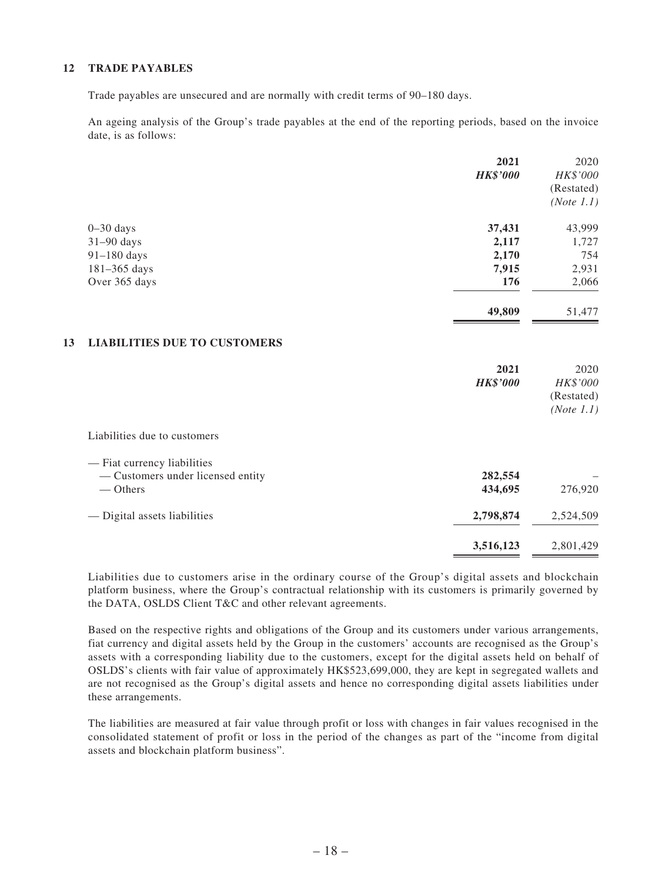#### **12 TRADE PAYABLES**

Trade payables are unsecured and are normally with credit terms of 90–180 days.

An ageing analysis of the Group's trade payables at the end of the reporting periods, based on the invoice date, is as follows:

|               | 2021                                | 2020       |
|---------------|-------------------------------------|------------|
|               | <b>HK\$'000</b>                     | HK\$'000   |
|               |                                     | (Restated) |
|               |                                     | (Note 1.1) |
| $0 - 30$ days | 37,431                              | 43,999     |
| $31-90$ days  | 2,117                               | 1,727      |
| $91-180$ days | 2,170                               | 754        |
| 181-365 days  | 7,915                               | 2,931      |
| Over 365 days | 176                                 | 2,066      |
|               | 49,809                              | 51,477     |
| 13            | <b>LIABILITIES DUE TO CUSTOMERS</b> |            |
|               | 2021                                | 2020       |

|                                   | 2021            | 2020       |
|-----------------------------------|-----------------|------------|
|                                   | <b>HK\$'000</b> | HK\$'000   |
|                                   |                 | (Restated) |
|                                   |                 | (Note 1.1) |
| Liabilities due to customers      |                 |            |
| — Fiat currency liabilities       |                 |            |
| — Customers under licensed entity | 282,554         |            |
| — Others                          | 434,695         | 276,920    |
| — Digital assets liabilities      | 2,798,874       | 2,524,509  |
|                                   | 3,516,123       | 2,801,429  |

Liabilities due to customers arise in the ordinary course of the Group's digital assets and blockchain platform business, where the Group's contractual relationship with its customers is primarily governed by the DATA, OSLDS Client T&C and other relevant agreements.

Based on the respective rights and obligations of the Group and its customers under various arrangements, fiat currency and digital assets held by the Group in the customers' accounts are recognised as the Group's assets with a corresponding liability due to the customers, except for the digital assets held on behalf of OSLDS's clients with fair value of approximately HK\$523,699,000, they are kept in segregated wallets and are not recognised as the Group's digital assets and hence no corresponding digital assets liabilities under these arrangements.

The liabilities are measured at fair value through profit or loss with changes in fair values recognised in the consolidated statement of profit or loss in the period of the changes as part of the "income from digital assets and blockchain platform business".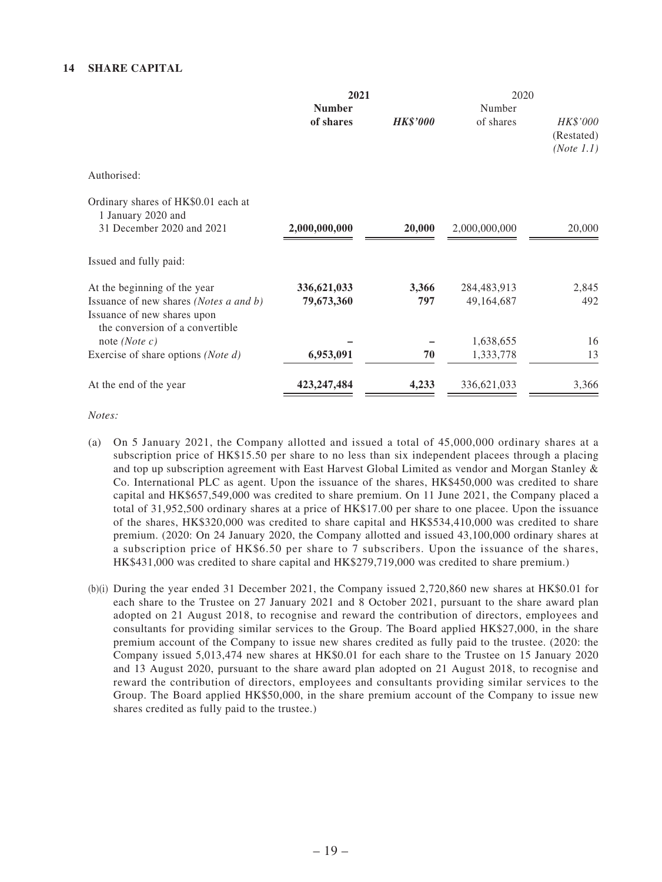|                                                                | 2021          |                 | 2020          |                                      |  |
|----------------------------------------------------------------|---------------|-----------------|---------------|--------------------------------------|--|
|                                                                | <b>Number</b> |                 | Number        |                                      |  |
|                                                                | of shares     | <b>HK\$'000</b> | of shares     | HK\$'000<br>(Restated)<br>(Note 1.1) |  |
| Authorised:                                                    |               |                 |               |                                      |  |
| Ordinary shares of HK\$0.01 each at<br>1 January 2020 and      |               |                 |               |                                      |  |
| 31 December 2020 and 2021                                      | 2,000,000,000 | 20,000          | 2,000,000,000 | 20,000                               |  |
| Issued and fully paid:                                         |               |                 |               |                                      |  |
| At the beginning of the year                                   | 336,621,033   | 3,366           | 284,483,913   | 2,845                                |  |
| Issuance of new shares (Notes a and b)                         | 79,673,360    | 797             | 49,164,687    | 492                                  |  |
| Issuance of new shares upon<br>the conversion of a convertible |               |                 |               |                                      |  |
| note ( <i>Note c</i> )                                         |               |                 | 1,638,655     | 16                                   |  |
| Exercise of share options (Note d)                             | 6,953,091     | 70              | 1,333,778     | 13                                   |  |
| At the end of the year                                         | 423, 247, 484 | 4,233           | 336,621,033   | 3,366                                |  |

*Notes:*

- (a) On 5 January 2021, the Company allotted and issued a total of 45,000,000 ordinary shares at a subscription price of HK\$15.50 per share to no less than six independent placees through a placing and top up subscription agreement with East Harvest Global Limited as vendor and Morgan Stanley & Co. International PLC as agent. Upon the issuance of the shares, HK\$450,000 was credited to share capital and HK\$657,549,000 was credited to share premium. On 11 June 2021, the Company placed a total of 31,952,500 ordinary shares at a price of HK\$17.00 per share to one placee. Upon the issuance of the shares, HK\$320,000 was credited to share capital and HK\$534,410,000 was credited to share premium. (2020: On 24 January 2020, the Company allotted and issued 43,100,000 ordinary shares at a subscription price of HK\$6.50 per share to 7 subscribers. Upon the issuance of the shares, HK\$431,000 was credited to share capital and HK\$279,719,000 was credited to share premium.)
- (b)(i) During the year ended 31 December 2021, the Company issued  $2,720,860$  new shares at HK\$0.01 for each share to the Trustee on 27 January 2021 and 8 October 2021, pursuant to the share award plan adopted on 21 August 2018, to recognise and reward the contribution of directors, employees and consultants for providing similar services to the Group. The Board applied HK\$27,000, in the share premium account of the Company to issue new shares credited as fully paid to the trustee. (2020: the Company issued 5,013,474 new shares at HK\$0.01 for each share to the Trustee on 15 January 2020 and 13 August 2020, pursuant to the share award plan adopted on 21 August 2018, to recognise and reward the contribution of directors, employees and consultants providing similar services to the Group. The Board applied HK\$50,000, in the share premium account of the Company to issue new shares credited as fully paid to the trustee.)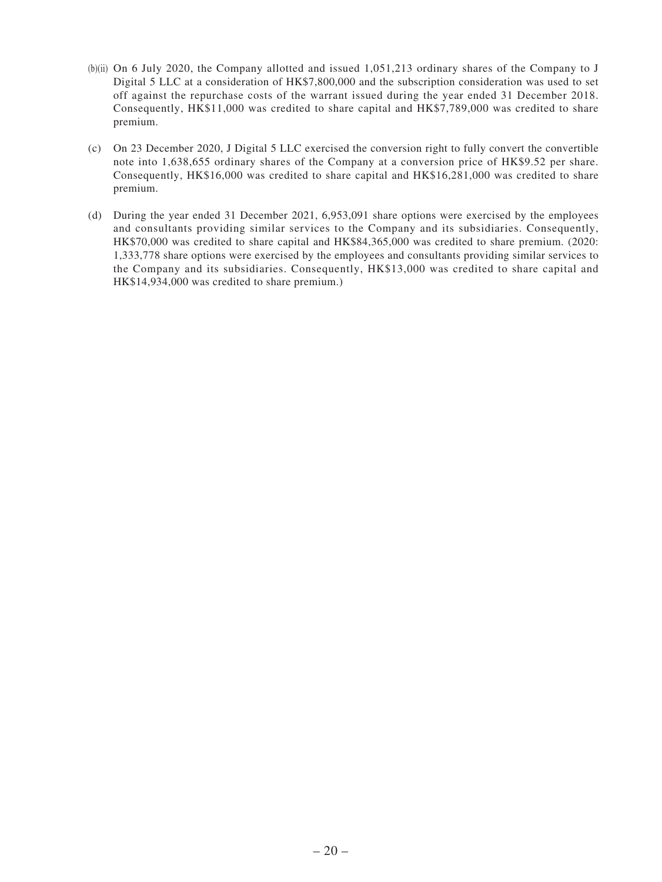- (b)(ii) On 6 July 2020, the Company allotted and issued  $1,051,213$  ordinary shares of the Company to J Digital 5 LLC at a consideration of HK\$7,800,000 and the subscription consideration was used to set off against the repurchase costs of the warrant issued during the year ended 31 December 2018. Consequently, HK\$11,000 was credited to share capital and HK\$7,789,000 was credited to share premium.
- (c) On 23 December 2020, J Digital 5 LLC exercised the conversion right to fully convert the convertible note into 1,638,655 ordinary shares of the Company at a conversion price of HK\$9.52 per share. Consequently, HK\$16,000 was credited to share capital and HK\$16,281,000 was credited to share premium.
- (d) During the year ended 31 December 2021, 6,953,091 share options were exercised by the employees and consultants providing similar services to the Company and its subsidiaries. Consequently, HK\$70,000 was credited to share capital and HK\$84,365,000 was credited to share premium. (2020: 1,333,778 share options were exercised by the employees and consultants providing similar services to the Company and its subsidiaries. Consequently, HK\$13,000 was credited to share capital and HK\$14,934,000 was credited to share premium.)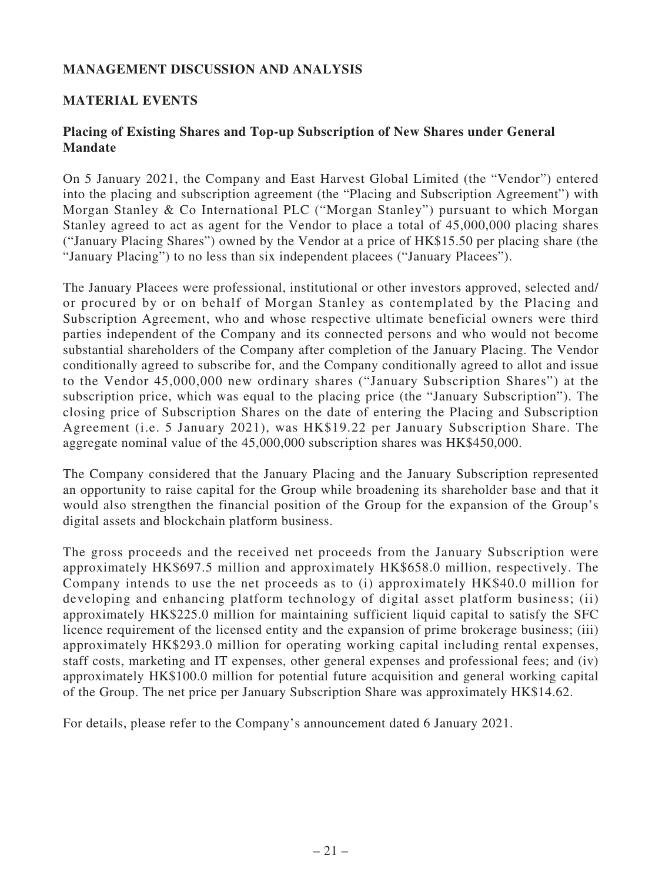# **MANAGEMENT DISCUSSION AND ANALYSIS**

# **MATERIAL EVENTS**

# **Placing of Existing Shares and Top-up Subscription of New Shares under General Mandate**

On 5 January 2021, the Company and East Harvest Global Limited (the "Vendor") entered into the placing and subscription agreement (the "Placing and Subscription Agreement") with Morgan Stanley & Co International PLC ("Morgan Stanley") pursuant to which Morgan Stanley agreed to act as agent for the Vendor to place a total of 45,000,000 placing shares ("January Placing Shares") owned by the Vendor at a price of HK\$15.50 per placing share (the "January Placing") to no less than six independent placees ("January Placees").

The January Placees were professional, institutional or other investors approved, selected and/ or procured by or on behalf of Morgan Stanley as contemplated by the Placing and Subscription Agreement, who and whose respective ultimate beneficial owners were third parties independent of the Company and its connected persons and who would not become substantial shareholders of the Company after completion of the January Placing. The Vendor conditionally agreed to subscribe for, and the Company conditionally agreed to allot and issue to the Vendor 45,000,000 new ordinary shares ("January Subscription Shares") at the subscription price, which was equal to the placing price (the "January Subscription"). The closing price of Subscription Shares on the date of entering the Placing and Subscription Agreement (i.e. 5 January 2021), was HK\$19.22 per January Subscription Share. The aggregate nominal value of the 45,000,000 subscription shares was HK\$450,000.

The Company considered that the January Placing and the January Subscription represented an opportunity to raise capital for the Group while broadening its shareholder base and that it would also strengthen the financial position of the Group for the expansion of the Group's digital assets and blockchain platform business.

The gross proceeds and the received net proceeds from the January Subscription were approximately HK\$697.5 million and approximately HK\$658.0 million, respectively. The Company intends to use the net proceeds as to (i) approximately HK\$40.0 million for developing and enhancing platform technology of digital asset platform business; (ii) approximately HK\$225.0 million for maintaining sufficient liquid capital to satisfy the SFC licence requirement of the licensed entity and the expansion of prime brokerage business; (iii) approximately HK\$293.0 million for operating working capital including rental expenses, staff costs, marketing and IT expenses, other general expenses and professional fees; and (iv) approximately HK\$100.0 million for potential future acquisition and general working capital of the Group. The net price per January Subscription Share was approximately HK\$14.62.

For details, please refer to the Company's announcement dated 6 January 2021.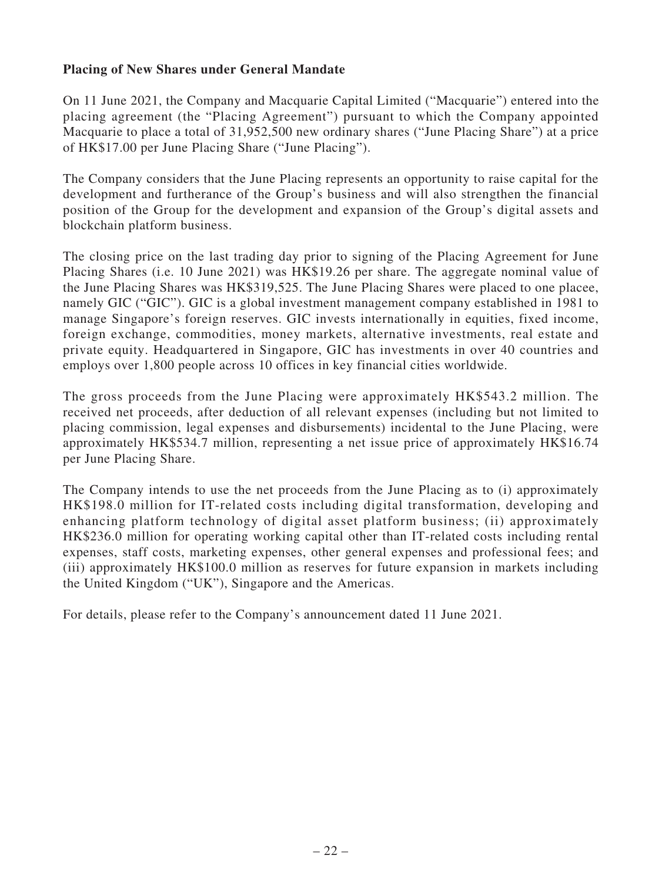# **Placing of New Shares under General Mandate**

On 11 June 2021, the Company and Macquarie Capital Limited ("Macquarie") entered into the placing agreement (the "Placing Agreement") pursuant to which the Company appointed Macquarie to place a total of 31,952,500 new ordinary shares ("June Placing Share") at a price of HK\$17.00 per June Placing Share ("June Placing").

The Company considers that the June Placing represents an opportunity to raise capital for the development and furtherance of the Group's business and will also strengthen the financial position of the Group for the development and expansion of the Group's digital assets and blockchain platform business.

The closing price on the last trading day prior to signing of the Placing Agreement for June Placing Shares (i.e. 10 June 2021) was HK\$19.26 per share. The aggregate nominal value of the June Placing Shares was HK\$319,525. The June Placing Shares were placed to one placee, namely GIC ("GIC"). GIC is a global investment management company established in 1981 to manage Singapore's foreign reserves. GIC invests internationally in equities, fixed income, foreign exchange, commodities, money markets, alternative investments, real estate and private equity. Headquartered in Singapore, GIC has investments in over 40 countries and employs over 1,800 people across 10 offices in key financial cities worldwide.

The gross proceeds from the June Placing were approximately HK\$543.2 million. The received net proceeds, after deduction of all relevant expenses (including but not limited to placing commission, legal expenses and disbursements) incidental to the June Placing, were approximately HK\$534.7 million, representing a net issue price of approximately HK\$16.74 per June Placing Share.

The Company intends to use the net proceeds from the June Placing as to (i) approximately HK\$198.0 million for IT-related costs including digital transformation, developing and enhancing platform technology of digital asset platform business; (ii) approximately HK\$236.0 million for operating working capital other than IT-related costs including rental expenses, staff costs, marketing expenses, other general expenses and professional fees; and (iii) approximately HK\$100.0 million as reserves for future expansion in markets including the United Kingdom ("UK"), Singapore and the Americas.

For details, please refer to the Company's announcement dated 11 June 2021.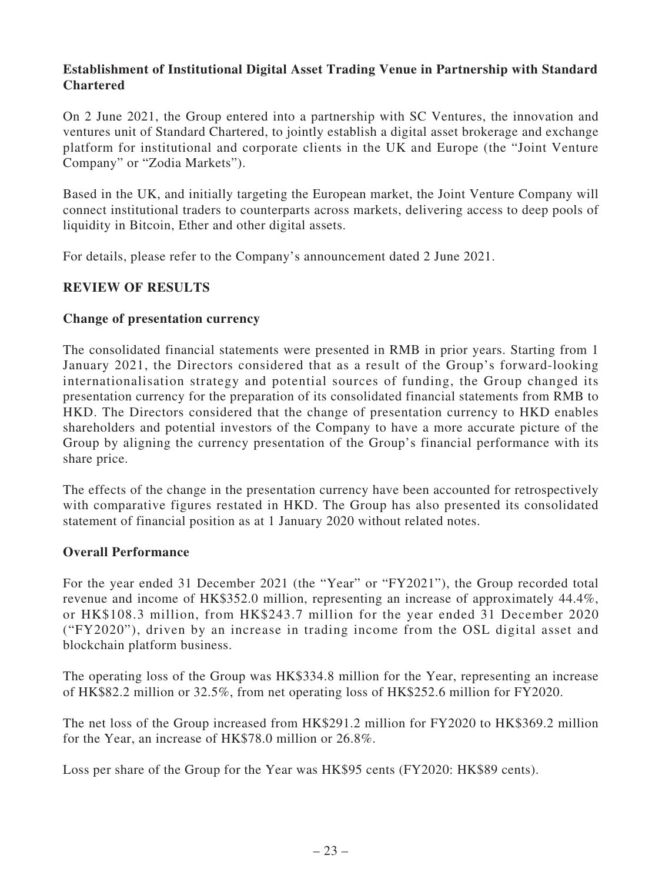# **Establishment of Institutional Digital Asset Trading Venue in Partnership with Standard Chartered**

On 2 June 2021, the Group entered into a partnership with SC Ventures, the innovation and ventures unit of Standard Chartered, to jointly establish a digital asset brokerage and exchange platform for institutional and corporate clients in the UK and Europe (the "Joint Venture Company" or "Zodia Markets").

Based in the UK, and initially targeting the European market, the Joint Venture Company will connect institutional traders to counterparts across markets, delivering access to deep pools of liquidity in Bitcoin, Ether and other digital assets.

For details, please refer to the Company's announcement dated 2 June 2021.

# **REVIEW OF RESULTS**

# **Change of presentation currency**

The consolidated financial statements were presented in RMB in prior years. Starting from 1 January 2021, the Directors considered that as a result of the Group's forward-looking internationalisation strategy and potential sources of funding, the Group changed its presentation currency for the preparation of its consolidated financial statements from RMB to HKD. The Directors considered that the change of presentation currency to HKD enables shareholders and potential investors of the Company to have a more accurate picture of the Group by aligning the currency presentation of the Group's financial performance with its share price.

The effects of the change in the presentation currency have been accounted for retrospectively with comparative figures restated in HKD. The Group has also presented its consolidated statement of financial position as at 1 January 2020 without related notes.

# **Overall Performance**

For the year ended 31 December 2021 (the "Year" or "FY2021"), the Group recorded total revenue and income of HK\$352.0 million, representing an increase of approximately 44.4%, or HK\$108.3 million, from HK\$243.7 million for the year ended 31 December 2020 ("FY2020"), driven by an increase in trading income from the OSL digital asset and blockchain platform business.

The operating loss of the Group was HK\$334.8 million for the Year, representing an increase of HK\$82.2 million or 32.5%, from net operating loss of HK\$252.6 million for FY2020.

The net loss of the Group increased from HK\$291.2 million for FY2020 to HK\$369.2 million for the Year, an increase of HK\$78.0 million or 26.8%.

Loss per share of the Group for the Year was HK\$95 cents (FY2020: HK\$89 cents).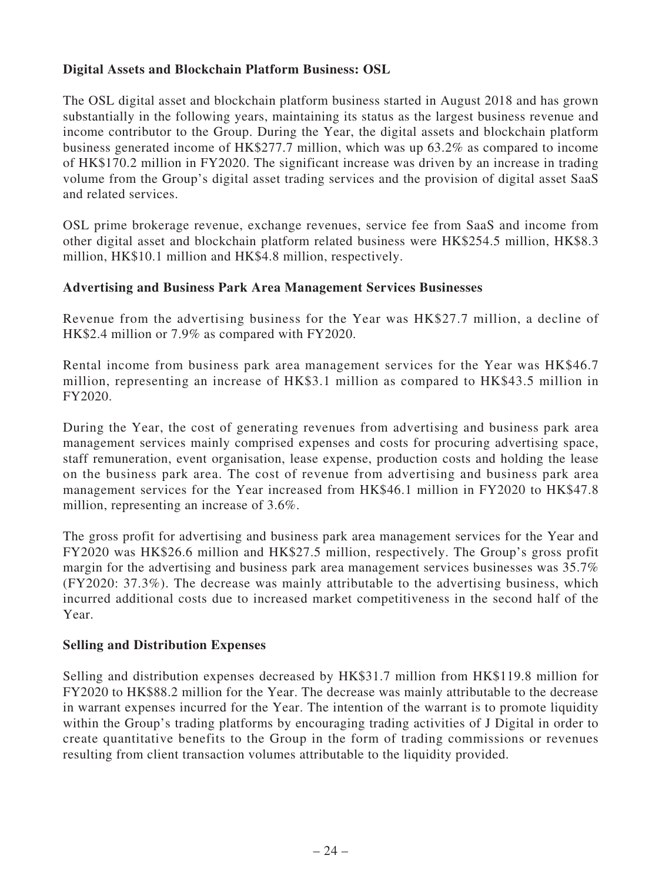# **Digital Assets and Blockchain Platform Business: OSL**

The OSL digital asset and blockchain platform business started in August 2018 and has grown substantially in the following years, maintaining its status as the largest business revenue and income contributor to the Group. During the Year, the digital assets and blockchain platform business generated income of HK\$277.7 million, which was up 63.2% as compared to income of HK\$170.2 million in FY2020. The significant increase was driven by an increase in trading volume from the Group's digital asset trading services and the provision of digital asset SaaS and related services.

OSL prime brokerage revenue, exchange revenues, service fee from SaaS and income from other digital asset and blockchain platform related business were HK\$254.5 million, HK\$8.3 million, HK\$10.1 million and HK\$4.8 million, respectively.

# **Advertising and Business Park Area Management Services Businesses**

Revenue from the advertising business for the Year was HK\$27.7 million, a decline of HK\$2.4 million or 7.9% as compared with FY2020.

Rental income from business park area management services for the Year was HK\$46.7 million, representing an increase of HK\$3.1 million as compared to HK\$43.5 million in FY2020.

During the Year, the cost of generating revenues from advertising and business park area management services mainly comprised expenses and costs for procuring advertising space, staff remuneration, event organisation, lease expense, production costs and holding the lease on the business park area. The cost of revenue from advertising and business park area management services for the Year increased from HK\$46.1 million in FY2020 to HK\$47.8 million, representing an increase of 3.6%.

The gross profit for advertising and business park area management services for the Year and FY2020 was HK\$26.6 million and HK\$27.5 million, respectively. The Group's gross profit margin for the advertising and business park area management services businesses was 35.7% (FY2020: 37.3%). The decrease was mainly attributable to the advertising business, which incurred additional costs due to increased market competitiveness in the second half of the Year.

# **Selling and Distribution Expenses**

Selling and distribution expenses decreased by HK\$31.7 million from HK\$119.8 million for FY2020 to HK\$88.2 million for the Year. The decrease was mainly attributable to the decrease in warrant expenses incurred for the Year. The intention of the warrant is to promote liquidity within the Group's trading platforms by encouraging trading activities of J Digital in order to create quantitative benefits to the Group in the form of trading commissions or revenues resulting from client transaction volumes attributable to the liquidity provided.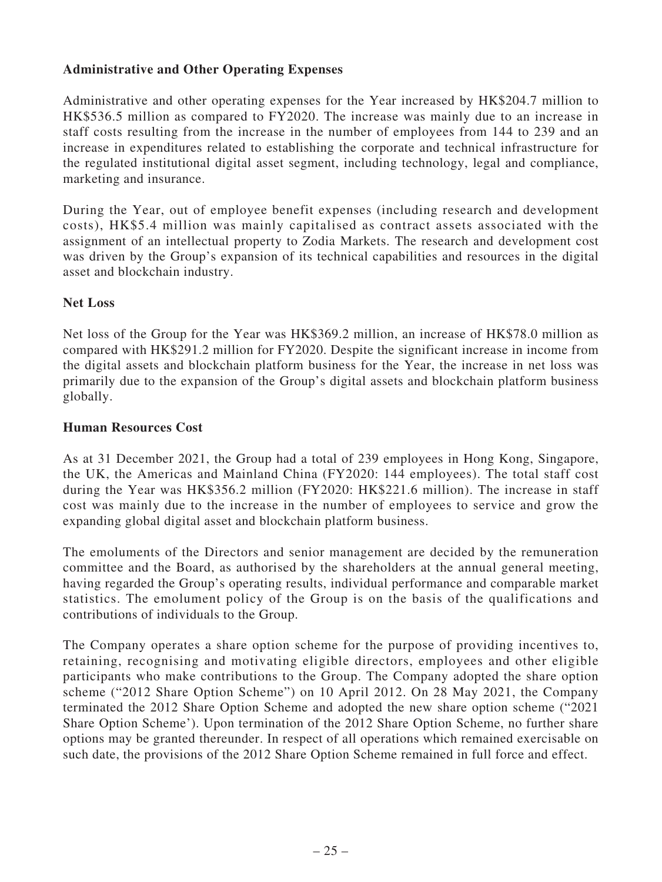# **Administrative and Other Operating Expenses**

Administrative and other operating expenses for the Year increased by HK\$204.7 million to HK\$536.5 million as compared to FY2020. The increase was mainly due to an increase in staff costs resulting from the increase in the number of employees from 144 to 239 and an increase in expenditures related to establishing the corporate and technical infrastructure for the regulated institutional digital asset segment, including technology, legal and compliance, marketing and insurance.

During the Year, out of employee benefit expenses (including research and development costs), HK\$5.4 million was mainly capitalised as contract assets associated with the assignment of an intellectual property to Zodia Markets. The research and development cost was driven by the Group's expansion of its technical capabilities and resources in the digital asset and blockchain industry.

# **Net Loss**

Net loss of the Group for the Year was HK\$369.2 million, an increase of HK\$78.0 million as compared with HK\$291.2 million for FY2020. Despite the significant increase in income from the digital assets and blockchain platform business for the Year, the increase in net loss was primarily due to the expansion of the Group's digital assets and blockchain platform business globally.

### **Human Resources Cost**

As at 31 December 2021, the Group had a total of 239 employees in Hong Kong, Singapore, the UK, the Americas and Mainland China (FY2020: 144 employees). The total staff cost during the Year was HK\$356.2 million (FY2020: HK\$221.6 million). The increase in staff cost was mainly due to the increase in the number of employees to service and grow the expanding global digital asset and blockchain platform business.

The emoluments of the Directors and senior management are decided by the remuneration committee and the Board, as authorised by the shareholders at the annual general meeting, having regarded the Group's operating results, individual performance and comparable market statistics. The emolument policy of the Group is on the basis of the qualifications and contributions of individuals to the Group.

The Company operates a share option scheme for the purpose of providing incentives to, retaining, recognising and motivating eligible directors, employees and other eligible participants who make contributions to the Group. The Company adopted the share option scheme ("2012 Share Option Scheme") on 10 April 2012. On 28 May 2021, the Company terminated the 2012 Share Option Scheme and adopted the new share option scheme ("2021 Share Option Scheme'). Upon termination of the 2012 Share Option Scheme, no further share options may be granted thereunder. In respect of all operations which remained exercisable on such date, the provisions of the 2012 Share Option Scheme remained in full force and effect.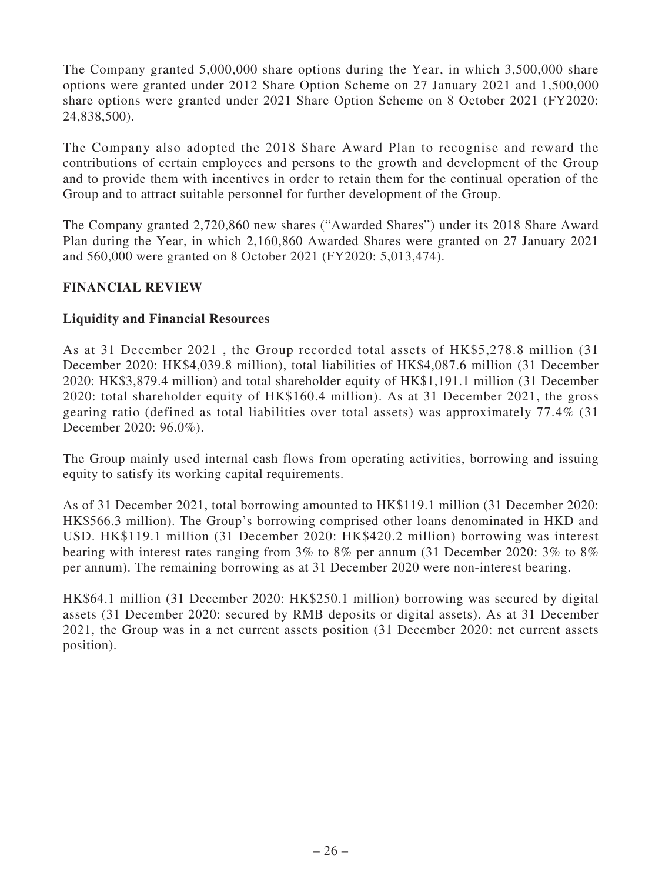The Company granted 5,000,000 share options during the Year, in which 3,500,000 share options were granted under 2012 Share Option Scheme on 27 January 2021 and 1,500,000 share options were granted under 2021 Share Option Scheme on 8 October 2021 (FY2020: 24,838,500).

The Company also adopted the 2018 Share Award Plan to recognise and reward the contributions of certain employees and persons to the growth and development of the Group and to provide them with incentives in order to retain them for the continual operation of the Group and to attract suitable personnel for further development of the Group.

The Company granted 2,720,860 new shares ("Awarded Shares") under its 2018 Share Award Plan during the Year, in which 2,160,860 Awarded Shares were granted on 27 January 2021 and 560,000 were granted on 8 October 2021 (FY2020: 5,013,474).

# **FINANCIAL REVIEW**

### **Liquidity and Financial Resources**

As at 31 December 2021 , the Group recorded total assets of HK\$5,278.8 million (31 December 2020: HK\$4,039.8 million), total liabilities of HK\$4,087.6 million (31 December 2020: HK\$3,879.4 million) and total shareholder equity of HK\$1,191.1 million (31 December 2020: total shareholder equity of HK\$160.4 million). As at 31 December 2021, the gross gearing ratio (defined as total liabilities over total assets) was approximately 77.4% (31 December 2020: 96.0%).

The Group mainly used internal cash flows from operating activities, borrowing and issuing equity to satisfy its working capital requirements.

As of 31 December 2021, total borrowing amounted to HK\$119.1 million (31 December 2020: HK\$566.3 million). The Group's borrowing comprised other loans denominated in HKD and USD. HK\$119.1 million (31 December 2020: HK\$420.2 million) borrowing was interest bearing with interest rates ranging from 3% to 8% per annum (31 December 2020: 3% to 8% per annum). The remaining borrowing as at 31 December 2020 were non-interest bearing.

HK\$64.1 million (31 December 2020: HK\$250.1 million) borrowing was secured by digital assets (31 December 2020: secured by RMB deposits or digital assets). As at 31 December 2021, the Group was in a net current assets position (31 December 2020: net current assets position).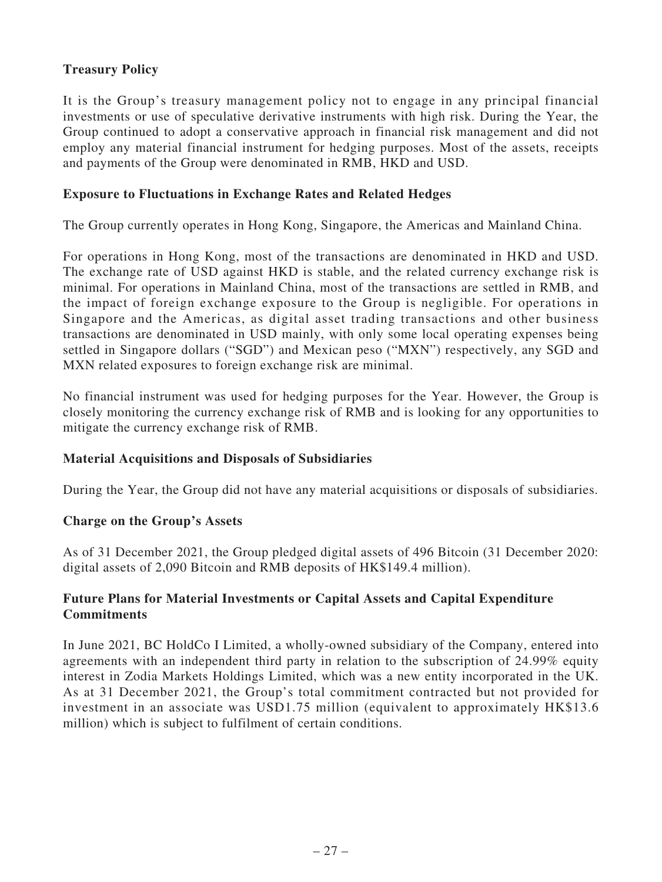# **Treasury Policy**

It is the Group's treasury management policy not to engage in any principal financial investments or use of speculative derivative instruments with high risk. During the Year, the Group continued to adopt a conservative approach in financial risk management and did not employ any material financial instrument for hedging purposes. Most of the assets, receipts and payments of the Group were denominated in RMB, HKD and USD.

### **Exposure to Fluctuations in Exchange Rates and Related Hedges**

The Group currently operates in Hong Kong, Singapore, the Americas and Mainland China.

For operations in Hong Kong, most of the transactions are denominated in HKD and USD. The exchange rate of USD against HKD is stable, and the related currency exchange risk is minimal. For operations in Mainland China, most of the transactions are settled in RMB, and the impact of foreign exchange exposure to the Group is negligible. For operations in Singapore and the Americas, as digital asset trading transactions and other business transactions are denominated in USD mainly, with only some local operating expenses being settled in Singapore dollars ("SGD") and Mexican peso ("MXN") respectively, any SGD and MXN related exposures to foreign exchange risk are minimal.

No financial instrument was used for hedging purposes for the Year. However, the Group is closely monitoring the currency exchange risk of RMB and is looking for any opportunities to mitigate the currency exchange risk of RMB.

# **Material Acquisitions and Disposals of Subsidiaries**

During the Year, the Group did not have any material acquisitions or disposals of subsidiaries.

### **Charge on the Group's Assets**

As of 31 December 2021, the Group pledged digital assets of 496 Bitcoin (31 December 2020: digital assets of 2,090 Bitcoin and RMB deposits of HK\$149.4 million).

# **Future Plans for Material Investments or Capital Assets and Capital Expenditure Commitments**

In June 2021, BC HoldCo I Limited, a wholly-owned subsidiary of the Company, entered into agreements with an independent third party in relation to the subscription of 24.99% equity interest in Zodia Markets Holdings Limited, which was a new entity incorporated in the UK. As at 31 December 2021, the Group's total commitment contracted but not provided for investment in an associate was USD1.75 million (equivalent to approximately HK\$13.6 million) which is subject to fulfilment of certain conditions.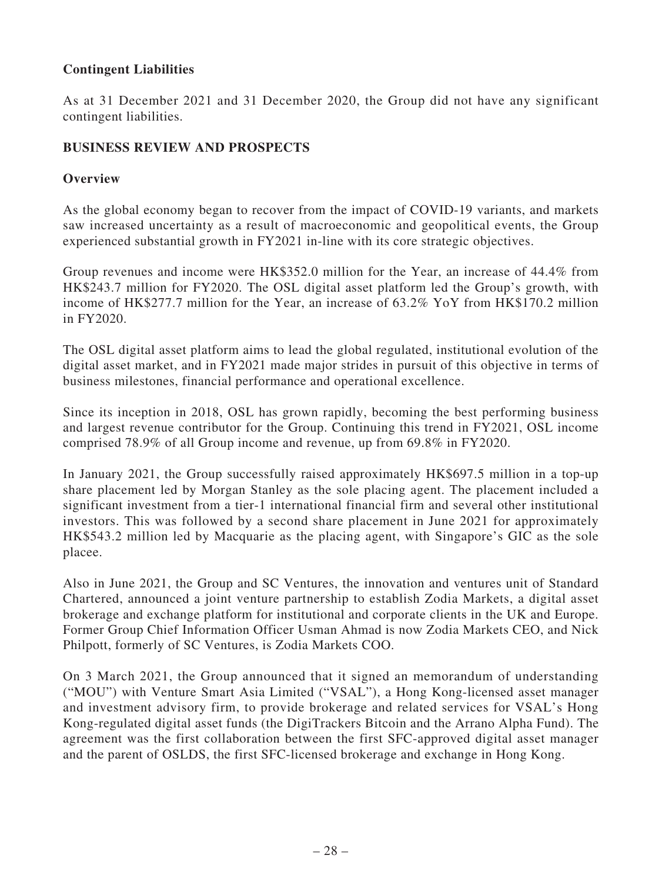# **Contingent Liabilities**

As at 31 December 2021 and 31 December 2020, the Group did not have any significant contingent liabilities.

# **BUSINESS REVIEW AND PROSPECTS**

### **Overview**

As the global economy began to recover from the impact of COVID-19 variants, and markets saw increased uncertainty as a result of macroeconomic and geopolitical events, the Group experienced substantial growth in FY2021 in-line with its core strategic objectives.

Group revenues and income were HK\$352.0 million for the Year, an increase of 44.4% from HK\$243.7 million for FY2020. The OSL digital asset platform led the Group's growth, with income of HK\$277.7 million for the Year, an increase of 63.2% YoY from HK\$170.2 million in FY2020.

The OSL digital asset platform aims to lead the global regulated, institutional evolution of the digital asset market, and in FY2021 made major strides in pursuit of this objective in terms of business milestones, financial performance and operational excellence.

Since its inception in 2018, OSL has grown rapidly, becoming the best performing business and largest revenue contributor for the Group. Continuing this trend in FY2021, OSL income comprised 78.9% of all Group income and revenue, up from 69.8% in FY2020.

In January 2021, the Group successfully raised approximately HK\$697.5 million in a top-up share placement led by Morgan Stanley as the sole placing agent. The placement included a significant investment from a tier-1 international financial firm and several other institutional investors. This was followed by a second share placement in June 2021 for approximately HK\$543.2 million led by Macquarie as the placing agent, with Singapore's GIC as the sole placee.

Also in June 2021, the Group and SC Ventures, the innovation and ventures unit of Standard Chartered, announced a joint venture partnership to establish Zodia Markets, a digital asset brokerage and exchange platform for institutional and corporate clients in the UK and Europe. Former Group Chief Information Officer Usman Ahmad is now Zodia Markets CEO, and Nick Philpott, formerly of SC Ventures, is Zodia Markets COO.

On 3 March 2021, the Group announced that it signed an memorandum of understanding ("MOU") with Venture Smart Asia Limited ("VSAL"), a Hong Kong-licensed asset manager and investment advisory firm, to provide brokerage and related services for VSAL's Hong Kong-regulated digital asset funds (the DigiTrackers Bitcoin and the Arrano Alpha Fund). The agreement was the first collaboration between the first SFC-approved digital asset manager and the parent of OSLDS, the first SFC-licensed brokerage and exchange in Hong Kong.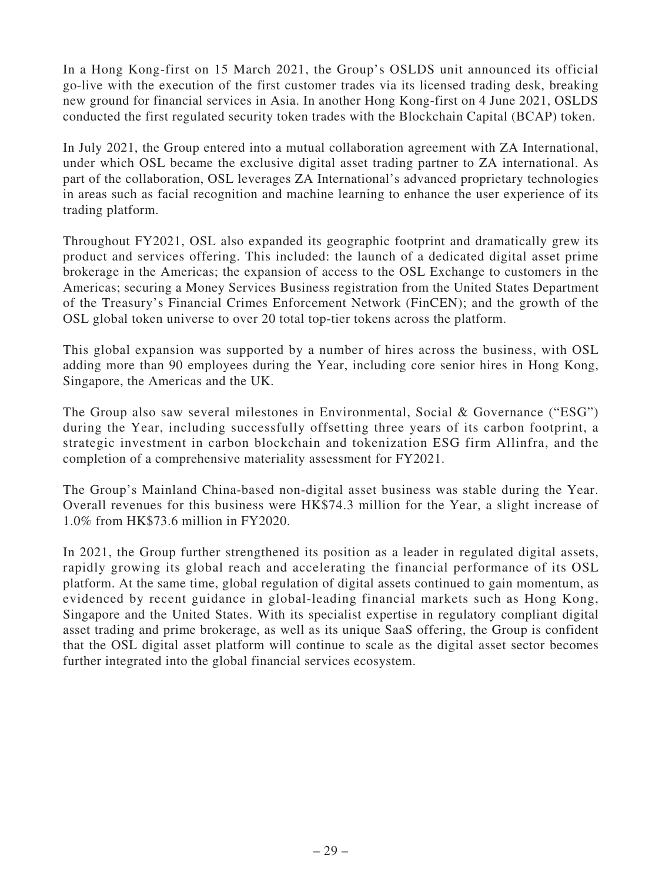In a Hong Kong-first on 15 March 2021, the Group's OSLDS unit announced its official go-live with the execution of the first customer trades via its licensed trading desk, breaking new ground for financial services in Asia. In another Hong Kong-first on 4 June 2021, OSLDS conducted the first regulated security token trades with the Blockchain Capital (BCAP) token.

In July 2021, the Group entered into a mutual collaboration agreement with ZA International, under which OSL became the exclusive digital asset trading partner to ZA international. As part of the collaboration, OSL leverages ZA International's advanced proprietary technologies in areas such as facial recognition and machine learning to enhance the user experience of its trading platform.

Throughout FY2021, OSL also expanded its geographic footprint and dramatically grew its product and services offering. This included: the launch of a dedicated digital asset prime brokerage in the Americas; the expansion of access to the OSL Exchange to customers in the Americas; securing a Money Services Business registration from the United States Department of the Treasury's Financial Crimes Enforcement Network (FinCEN); and the growth of the OSL global token universe to over 20 total top-tier tokens across the platform.

This global expansion was supported by a number of hires across the business, with OSL adding more than 90 employees during the Year, including core senior hires in Hong Kong, Singapore, the Americas and the UK.

The Group also saw several milestones in Environmental, Social & Governance ("ESG") during the Year, including successfully offsetting three years of its carbon footprint, a strategic investment in carbon blockchain and tokenization ESG firm Allinfra, and the completion of a comprehensive materiality assessment for FY2021.

The Group's Mainland China-based non-digital asset business was stable during the Year. Overall revenues for this business were HK\$74.3 million for the Year, a slight increase of 1.0% from HK\$73.6 million in FY2020.

In 2021, the Group further strengthened its position as a leader in regulated digital assets, rapidly growing its global reach and accelerating the financial performance of its OSL platform. At the same time, global regulation of digital assets continued to gain momentum, as evidenced by recent guidance in global-leading financial markets such as Hong Kong, Singapore and the United States. With its specialist expertise in regulatory compliant digital asset trading and prime brokerage, as well as its unique SaaS offering, the Group is confident that the OSL digital asset platform will continue to scale as the digital asset sector becomes further integrated into the global financial services ecosystem.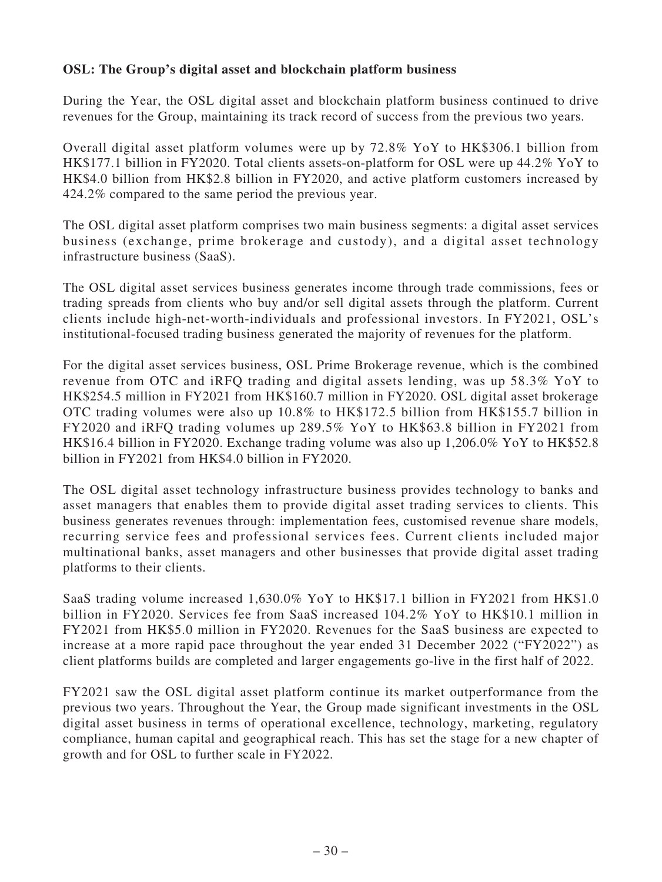# **OSL: The Group's digital asset and blockchain platform business**

During the Year, the OSL digital asset and blockchain platform business continued to drive revenues for the Group, maintaining its track record of success from the previous two years.

Overall digital asset platform volumes were up by 72.8% YoY to HK\$306.1 billion from HK\$177.1 billion in FY2020. Total clients assets-on-platform for OSL were up 44.2% YoY to HK\$4.0 billion from HK\$2.8 billion in FY2020, and active platform customers increased by 424.2% compared to the same period the previous year.

The OSL digital asset platform comprises two main business segments: a digital asset services business (exchange, prime brokerage and custody), and a digital asset technology infrastructure business (SaaS).

The OSL digital asset services business generates income through trade commissions, fees or trading spreads from clients who buy and/or sell digital assets through the platform. Current clients include high-net-worth-individuals and professional investors. In FY2021, OSL's institutional-focused trading business generated the majority of revenues for the platform.

For the digital asset services business, OSL Prime Brokerage revenue, which is the combined revenue from OTC and iRFQ trading and digital assets lending, was up 58.3% YoY to HK\$254.5 million in FY2021 from HK\$160.7 million in FY2020. OSL digital asset brokerage OTC trading volumes were also up 10.8% to HK\$172.5 billion from HK\$155.7 billion in FY2020 and iRFQ trading volumes up 289.5% YoY to HK\$63.8 billion in FY2021 from HK\$16.4 billion in FY2020. Exchange trading volume was also up 1,206.0% YoY to HK\$52.8 billion in FY2021 from HK\$4.0 billion in FY2020.

The OSL digital asset technology infrastructure business provides technology to banks and asset managers that enables them to provide digital asset trading services to clients. This business generates revenues through: implementation fees, customised revenue share models, recurring service fees and professional services fees. Current clients included major multinational banks, asset managers and other businesses that provide digital asset trading platforms to their clients.

SaaS trading volume increased 1,630.0% YoY to HK\$17.1 billion in FY2021 from HK\$1.0 billion in FY2020. Services fee from SaaS increased 104.2% YoY to HK\$10.1 million in FY2021 from HK\$5.0 million in FY2020. Revenues for the SaaS business are expected to increase at a more rapid pace throughout the year ended 31 December 2022 ("FY2022") as client platforms builds are completed and larger engagements go-live in the first half of 2022.

FY2021 saw the OSL digital asset platform continue its market outperformance from the previous two years. Throughout the Year, the Group made significant investments in the OSL digital asset business in terms of operational excellence, technology, marketing, regulatory compliance, human capital and geographical reach. This has set the stage for a new chapter of growth and for OSL to further scale in FY2022.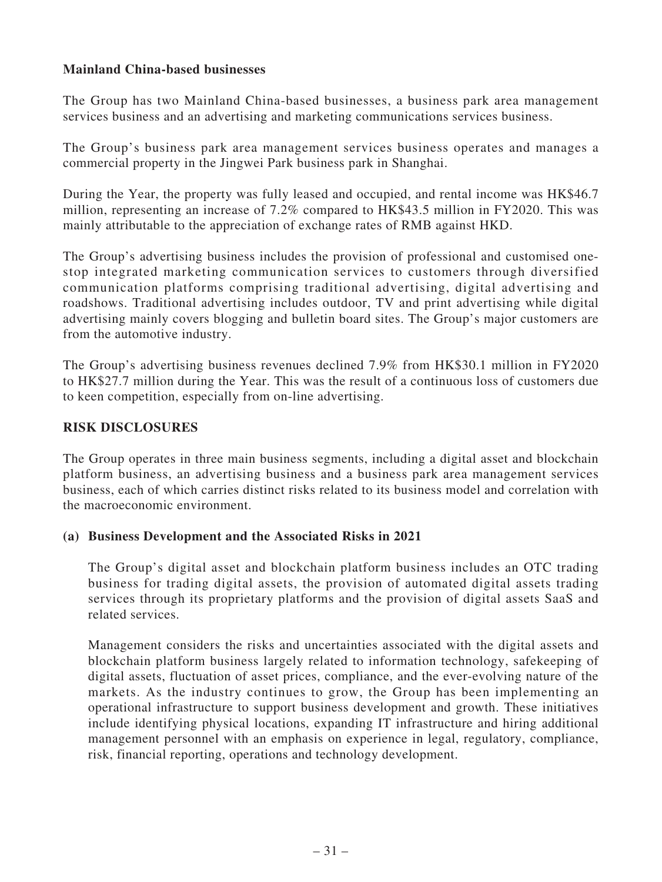# **Mainland China-based businesses**

The Group has two Mainland China-based businesses, a business park area management services business and an advertising and marketing communications services business.

The Group's business park area management services business operates and manages a commercial property in the Jingwei Park business park in Shanghai.

During the Year, the property was fully leased and occupied, and rental income was HK\$46.7 million, representing an increase of 7.2% compared to HK\$43.5 million in FY2020. This was mainly attributable to the appreciation of exchange rates of RMB against HKD.

The Group's advertising business includes the provision of professional and customised onestop integrated marketing communication services to customers through diversified communication platforms comprising traditional advertising, digital advertising and roadshows. Traditional advertising includes outdoor, TV and print advertising while digital advertising mainly covers blogging and bulletin board sites. The Group's major customers are from the automotive industry.

The Group's advertising business revenues declined 7.9% from HK\$30.1 million in FY2020 to HK\$27.7 million during the Year. This was the result of a continuous loss of customers due to keen competition, especially from on-line advertising.

# **RISK DISCLOSURES**

The Group operates in three main business segments, including a digital asset and blockchain platform business, an advertising business and a business park area management services business, each of which carries distinct risks related to its business model and correlation with the macroeconomic environment.

# **(a) Business Development and the Associated Risks in 2021**

The Group's digital asset and blockchain platform business includes an OTC trading business for trading digital assets, the provision of automated digital assets trading services through its proprietary platforms and the provision of digital assets SaaS and related services.

Management considers the risks and uncertainties associated with the digital assets and blockchain platform business largely related to information technology, safekeeping of digital assets, fluctuation of asset prices, compliance, and the ever-evolving nature of the markets. As the industry continues to grow, the Group has been implementing an operational infrastructure to support business development and growth. These initiatives include identifying physical locations, expanding IT infrastructure and hiring additional management personnel with an emphasis on experience in legal, regulatory, compliance, risk, financial reporting, operations and technology development.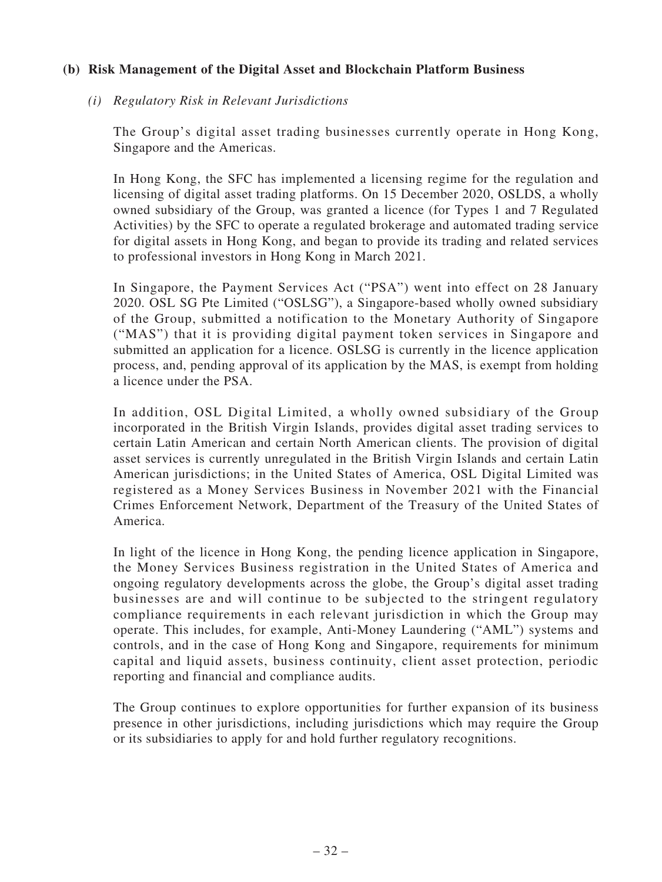### **(b) Risk Management of the Digital Asset and Blockchain Platform Business**

### *(i) Regulatory Risk in Relevant Jurisdictions*

The Group's digital asset trading businesses currently operate in Hong Kong, Singapore and the Americas.

In Hong Kong, the SFC has implemented a licensing regime for the regulation and licensing of digital asset trading platforms. On 15 December 2020, OSLDS, a wholly owned subsidiary of the Group, was granted a licence (for Types 1 and 7 Regulated Activities) by the SFC to operate a regulated brokerage and automated trading service for digital assets in Hong Kong, and began to provide its trading and related services to professional investors in Hong Kong in March 2021.

In Singapore, the Payment Services Act ("PSA") went into effect on 28 January 2020. OSL SG Pte Limited ("OSLSG"), a Singapore-based wholly owned subsidiary of the Group, submitted a notification to the Monetary Authority of Singapore ("MAS") that it is providing digital payment token services in Singapore and submitted an application for a licence. OSLSG is currently in the licence application process, and, pending approval of its application by the MAS, is exempt from holding a licence under the PSA.

In addition, OSL Digital Limited, a wholly owned subsidiary of the Group incorporated in the British Virgin Islands, provides digital asset trading services to certain Latin American and certain North American clients. The provision of digital asset services is currently unregulated in the British Virgin Islands and certain Latin American jurisdictions; in the United States of America, OSL Digital Limited was registered as a Money Services Business in November 2021 with the Financial Crimes Enforcement Network, Department of the Treasury of the United States of America.

In light of the licence in Hong Kong, the pending licence application in Singapore, the Money Services Business registration in the United States of America and ongoing regulatory developments across the globe, the Group's digital asset trading businesses are and will continue to be subjected to the stringent regulatory compliance requirements in each relevant jurisdiction in which the Group may operate. This includes, for example, Anti-Money Laundering ("AML") systems and controls, and in the case of Hong Kong and Singapore, requirements for minimum capital and liquid assets, business continuity, client asset protection, periodic reporting and financial and compliance audits.

The Group continues to explore opportunities for further expansion of its business presence in other jurisdictions, including jurisdictions which may require the Group or its subsidiaries to apply for and hold further regulatory recognitions.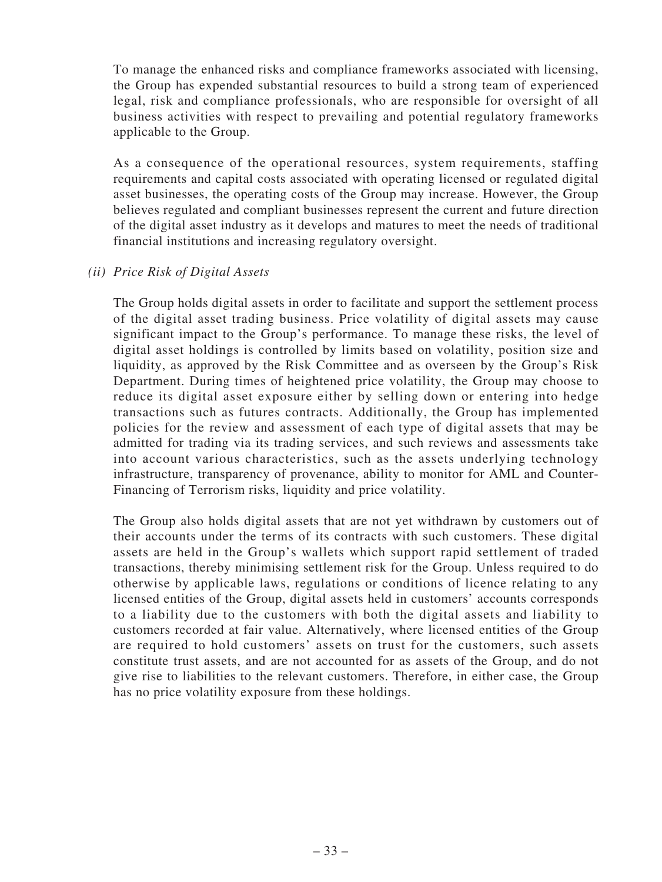To manage the enhanced risks and compliance frameworks associated with licensing, the Group has expended substantial resources to build a strong team of experienced legal, risk and compliance professionals, who are responsible for oversight of all business activities with respect to prevailing and potential regulatory frameworks applicable to the Group.

As a consequence of the operational resources, system requirements, staffing requirements and capital costs associated with operating licensed or regulated digital asset businesses, the operating costs of the Group may increase. However, the Group believes regulated and compliant businesses represent the current and future direction of the digital asset industry as it develops and matures to meet the needs of traditional financial institutions and increasing regulatory oversight.

### *(ii) Price Risk of Digital Assets*

The Group holds digital assets in order to facilitate and support the settlement process of the digital asset trading business. Price volatility of digital assets may cause significant impact to the Group's performance. To manage these risks, the level of digital asset holdings is controlled by limits based on volatility, position size and liquidity, as approved by the Risk Committee and as overseen by the Group's Risk Department. During times of heightened price volatility, the Group may choose to reduce its digital asset exposure either by selling down or entering into hedge transactions such as futures contracts. Additionally, the Group has implemented policies for the review and assessment of each type of digital assets that may be admitted for trading via its trading services, and such reviews and assessments take into account various characteristics, such as the assets underlying technology infrastructure, transparency of provenance, ability to monitor for AML and Counter-Financing of Terrorism risks, liquidity and price volatility.

The Group also holds digital assets that are not yet withdrawn by customers out of their accounts under the terms of its contracts with such customers. These digital assets are held in the Group's wallets which support rapid settlement of traded transactions, thereby minimising settlement risk for the Group. Unless required to do otherwise by applicable laws, regulations or conditions of licence relating to any licensed entities of the Group, digital assets held in customers' accounts corresponds to a liability due to the customers with both the digital assets and liability to customers recorded at fair value. Alternatively, where licensed entities of the Group are required to hold customers' assets on trust for the customers, such assets constitute trust assets, and are not accounted for as assets of the Group, and do not give rise to liabilities to the relevant customers. Therefore, in either case, the Group has no price volatility exposure from these holdings.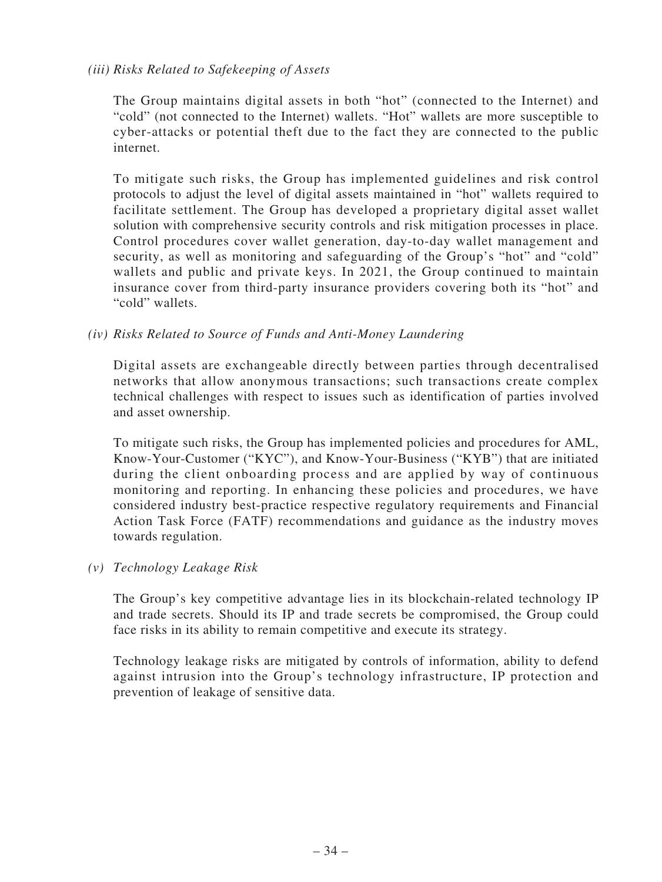## *(iii) Risks Related to Safekeeping of Assets*

The Group maintains digital assets in both "hot" (connected to the Internet) and "cold" (not connected to the Internet) wallets. "Hot" wallets are more susceptible to cyber-attacks or potential theft due to the fact they are connected to the public internet.

To mitigate such risks, the Group has implemented guidelines and risk control protocols to adjust the level of digital assets maintained in "hot" wallets required to facilitate settlement. The Group has developed a proprietary digital asset wallet solution with comprehensive security controls and risk mitigation processes in place. Control procedures cover wallet generation, day-to-day wallet management and security, as well as monitoring and safeguarding of the Group's "hot" and "cold" wallets and public and private keys. In 2021, the Group continued to maintain insurance cover from third-party insurance providers covering both its "hot" and "cold" wallets.

# *(iv) Risks Related to Source of Funds and Anti-Money Laundering*

Digital assets are exchangeable directly between parties through decentralised networks that allow anonymous transactions; such transactions create complex technical challenges with respect to issues such as identification of parties involved and asset ownership.

To mitigate such risks, the Group has implemented policies and procedures for AML, Know-Your-Customer ("KYC"), and Know-Your-Business ("KYB") that are initiated during the client onboarding process and are applied by way of continuous monitoring and reporting. In enhancing these policies and procedures, we have considered industry best-practice respective regulatory requirements and Financial Action Task Force (FATF) recommendations and guidance as the industry moves towards regulation.

### *(v) Technology Leakage Risk*

The Group's key competitive advantage lies in its blockchain-related technology IP and trade secrets. Should its IP and trade secrets be compromised, the Group could face risks in its ability to remain competitive and execute its strategy.

Technology leakage risks are mitigated by controls of information, ability to defend against intrusion into the Group's technology infrastructure, IP protection and prevention of leakage of sensitive data.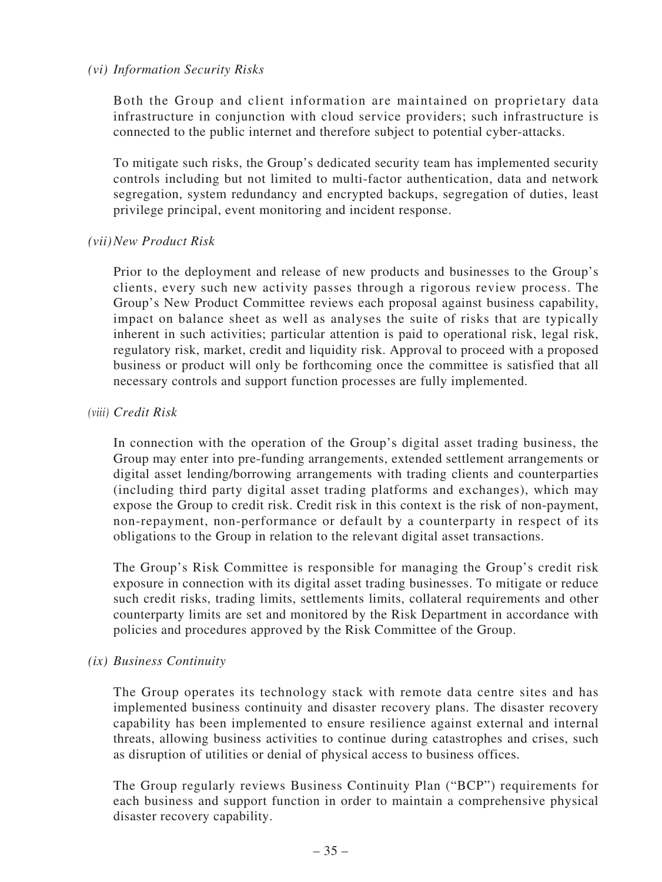### *(vi) Information Security Risks*

Both the Group and client information are maintained on proprietary data infrastructure in conjunction with cloud service providers; such infrastructure is connected to the public internet and therefore subject to potential cyber-attacks.

To mitigate such risks, the Group's dedicated security team has implemented security controls including but not limited to multi-factor authentication, data and network segregation, system redundancy and encrypted backups, segregation of duties, least privilege principal, event monitoring and incident response.

### *(vii)New Product Risk*

Prior to the deployment and release of new products and businesses to the Group's clients, every such new activity passes through a rigorous review process. The Group's New Product Committee reviews each proposal against business capability, impact on balance sheet as well as analyses the suite of risks that are typically inherent in such activities; particular attention is paid to operational risk, legal risk, regulatory risk, market, credit and liquidity risk. Approval to proceed with a proposed business or product will only be forthcoming once the committee is satisfied that all necessary controls and support function processes are fully implemented.

### *(viii) Credit Risk*

In connection with the operation of the Group's digital asset trading business, the Group may enter into pre-funding arrangements, extended settlement arrangements or digital asset lending/borrowing arrangements with trading clients and counterparties (including third party digital asset trading platforms and exchanges), which may expose the Group to credit risk. Credit risk in this context is the risk of non-payment, non-repayment, non-performance or default by a counterparty in respect of its obligations to the Group in relation to the relevant digital asset transactions.

The Group's Risk Committee is responsible for managing the Group's credit risk exposure in connection with its digital asset trading businesses. To mitigate or reduce such credit risks, trading limits, settlements limits, collateral requirements and other counterparty limits are set and monitored by the Risk Department in accordance with policies and procedures approved by the Risk Committee of the Group.

### *(ix) Business Continuity*

The Group operates its technology stack with remote data centre sites and has implemented business continuity and disaster recovery plans. The disaster recovery capability has been implemented to ensure resilience against external and internal threats, allowing business activities to continue during catastrophes and crises, such as disruption of utilities or denial of physical access to business offices.

The Group regularly reviews Business Continuity Plan ("BCP") requirements for each business and support function in order to maintain a comprehensive physical disaster recovery capability.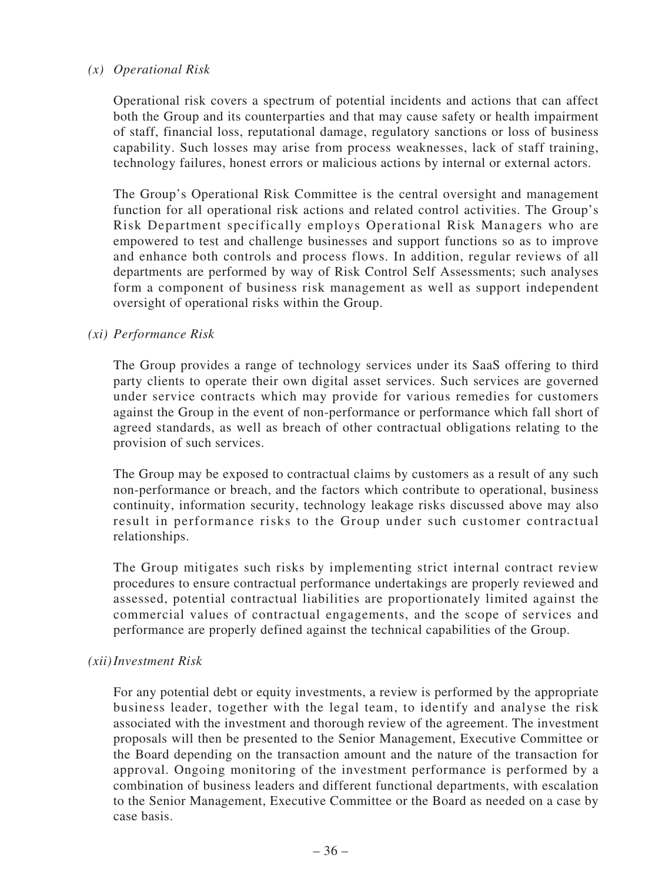### *(x) Operational Risk*

Operational risk covers a spectrum of potential incidents and actions that can affect both the Group and its counterparties and that may cause safety or health impairment of staff, financial loss, reputational damage, regulatory sanctions or loss of business capability. Such losses may arise from process weaknesses, lack of staff training, technology failures, honest errors or malicious actions by internal or external actors.

The Group's Operational Risk Committee is the central oversight and management function for all operational risk actions and related control activities. The Group's Risk Department specifically employs Operational Risk Managers who are empowered to test and challenge businesses and support functions so as to improve and enhance both controls and process flows. In addition, regular reviews of all departments are performed by way of Risk Control Self Assessments; such analyses form a component of business risk management as well as support independent oversight of operational risks within the Group.

### *(xi) Performance Risk*

The Group provides a range of technology services under its SaaS offering to third party clients to operate their own digital asset services. Such services are governed under service contracts which may provide for various remedies for customers against the Group in the event of non-performance or performance which fall short of agreed standards, as well as breach of other contractual obligations relating to the provision of such services.

The Group may be exposed to contractual claims by customers as a result of any such non-performance or breach, and the factors which contribute to operational, business continuity, information security, technology leakage risks discussed above may also result in performance risks to the Group under such customer contractual relationships.

The Group mitigates such risks by implementing strict internal contract review procedures to ensure contractual performance undertakings are properly reviewed and assessed, potential contractual liabilities are proportionately limited against the commercial values of contractual engagements, and the scope of services and performance are properly defined against the technical capabilities of the Group.

### *(xii)Investment Risk*

For any potential debt or equity investments, a review is performed by the appropriate business leader, together with the legal team, to identify and analyse the risk associated with the investment and thorough review of the agreement. The investment proposals will then be presented to the Senior Management, Executive Committee or the Board depending on the transaction amount and the nature of the transaction for approval. Ongoing monitoring of the investment performance is performed by a combination of business leaders and different functional departments, with escalation to the Senior Management, Executive Committee or the Board as needed on a case by case basis.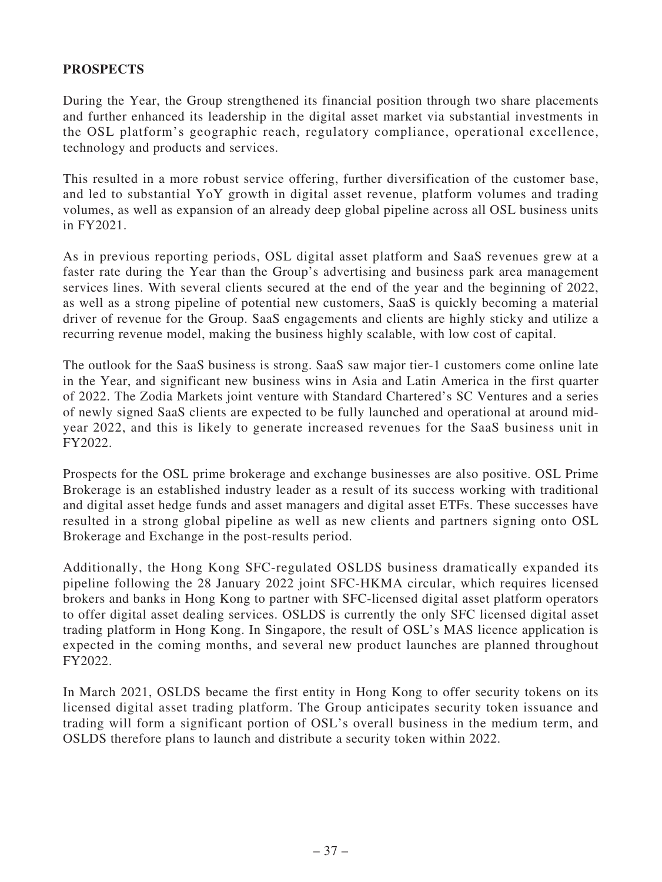# **PROSPECTS**

During the Year, the Group strengthened its financial position through two share placements and further enhanced its leadership in the digital asset market via substantial investments in the OSL platform's geographic reach, regulatory compliance, operational excellence, technology and products and services.

This resulted in a more robust service offering, further diversification of the customer base, and led to substantial YoY growth in digital asset revenue, platform volumes and trading volumes, as well as expansion of an already deep global pipeline across all OSL business units in FY2021.

As in previous reporting periods, OSL digital asset platform and SaaS revenues grew at a faster rate during the Year than the Group's advertising and business park area management services lines. With several clients secured at the end of the year and the beginning of 2022, as well as a strong pipeline of potential new customers, SaaS is quickly becoming a material driver of revenue for the Group. SaaS engagements and clients are highly sticky and utilize a recurring revenue model, making the business highly scalable, with low cost of capital.

The outlook for the SaaS business is strong. SaaS saw major tier-1 customers come online late in the Year, and significant new business wins in Asia and Latin America in the first quarter of 2022. The Zodia Markets joint venture with Standard Chartered's SC Ventures and a series of newly signed SaaS clients are expected to be fully launched and operational at around midyear 2022, and this is likely to generate increased revenues for the SaaS business unit in FY2022.

Prospects for the OSL prime brokerage and exchange businesses are also positive. OSL Prime Brokerage is an established industry leader as a result of its success working with traditional and digital asset hedge funds and asset managers and digital asset ETFs. These successes have resulted in a strong global pipeline as well as new clients and partners signing onto OSL Brokerage and Exchange in the post-results period.

Additionally, the Hong Kong SFC-regulated OSLDS business dramatically expanded its pipeline following the 28 January 2022 joint SFC-HKMA circular, which requires licensed brokers and banks in Hong Kong to partner with SFC-licensed digital asset platform operators to offer digital asset dealing services. OSLDS is currently the only SFC licensed digital asset trading platform in Hong Kong. In Singapore, the result of OSL's MAS licence application is expected in the coming months, and several new product launches are planned throughout FY2022.

In March 2021, OSLDS became the first entity in Hong Kong to offer security tokens on its licensed digital asset trading platform. The Group anticipates security token issuance and trading will form a significant portion of OSL's overall business in the medium term, and OSLDS therefore plans to launch and distribute a security token within 2022.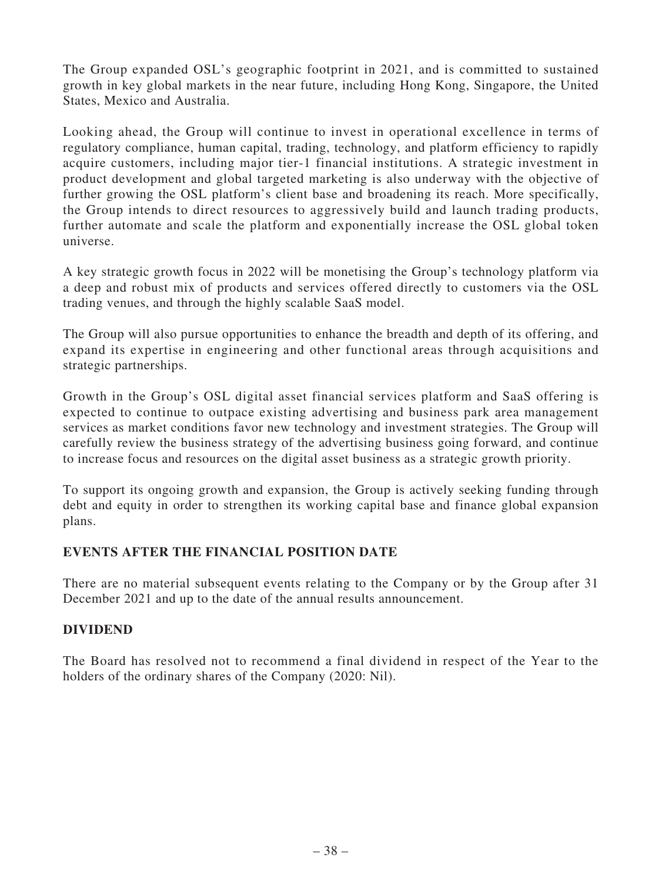The Group expanded OSL's geographic footprint in 2021, and is committed to sustained growth in key global markets in the near future, including Hong Kong, Singapore, the United States, Mexico and Australia.

Looking ahead, the Group will continue to invest in operational excellence in terms of regulatory compliance, human capital, trading, technology, and platform efficiency to rapidly acquire customers, including major tier-1 financial institutions. A strategic investment in product development and global targeted marketing is also underway with the objective of further growing the OSL platform's client base and broadening its reach. More specifically, the Group intends to direct resources to aggressively build and launch trading products, further automate and scale the platform and exponentially increase the OSL global token universe.

A key strategic growth focus in 2022 will be monetising the Group's technology platform via a deep and robust mix of products and services offered directly to customers via the OSL trading venues, and through the highly scalable SaaS model.

The Group will also pursue opportunities to enhance the breadth and depth of its offering, and expand its expertise in engineering and other functional areas through acquisitions and strategic partnerships.

Growth in the Group's OSL digital asset financial services platform and SaaS offering is expected to continue to outpace existing advertising and business park area management services as market conditions favor new technology and investment strategies. The Group will carefully review the business strategy of the advertising business going forward, and continue to increase focus and resources on the digital asset business as a strategic growth priority.

To support its ongoing growth and expansion, the Group is actively seeking funding through debt and equity in order to strengthen its working capital base and finance global expansion plans.

# **EVENTS AFTER THE FINANCIAL POSITION DATE**

There are no material subsequent events relating to the Company or by the Group after 31 December 2021 and up to the date of the annual results announcement.

# **DIVIDEND**

The Board has resolved not to recommend a final dividend in respect of the Year to the holders of the ordinary shares of the Company (2020: Nil).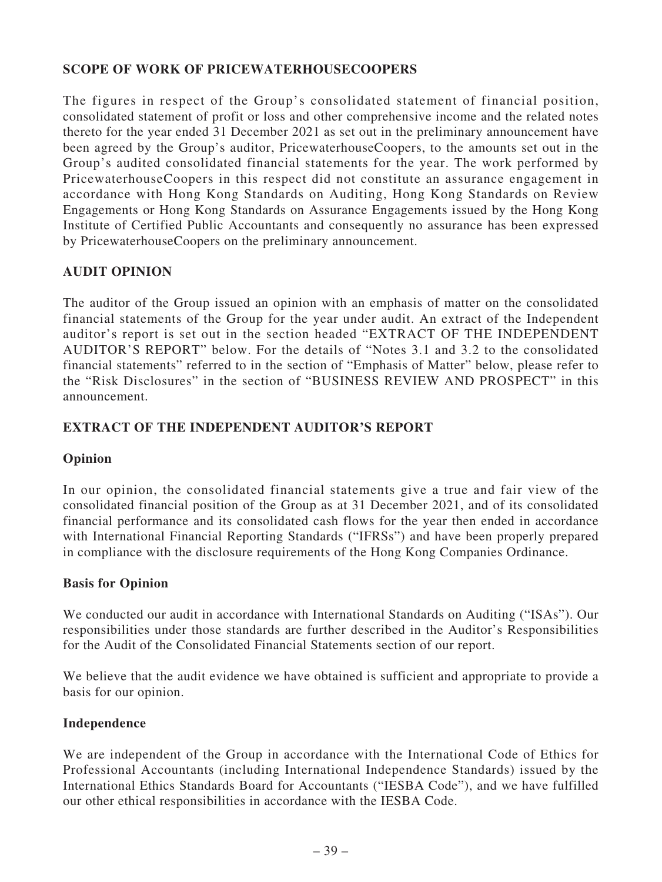# **SCOPE OF WORK OF PRICEWATERHOUSECOOPERS**

The figures in respect of the Group's consolidated statement of financial position, consolidated statement of profit or loss and other comprehensive income and the related notes thereto for the year ended 31 December 2021 as set out in the preliminary announcement have been agreed by the Group's auditor, PricewaterhouseCoopers, to the amounts set out in the Group's audited consolidated financial statements for the year. The work performed by PricewaterhouseCoopers in this respect did not constitute an assurance engagement in accordance with Hong Kong Standards on Auditing, Hong Kong Standards on Review Engagements or Hong Kong Standards on Assurance Engagements issued by the Hong Kong Institute of Certified Public Accountants and consequently no assurance has been expressed by PricewaterhouseCoopers on the preliminary announcement.

# **AUDIT OPINION**

The auditor of the Group issued an opinion with an emphasis of matter on the consolidated financial statements of the Group for the year under audit. An extract of the Independent auditor's report is set out in the section headed "EXTRACT OF THE INDEPENDENT AUDITOR'S REPORT" below. For the details of "Notes 3.1 and 3.2 to the consolidated financial statements" referred to in the section of "Emphasis of Matter" below, please refer to the "Risk Disclosures" in the section of "BUSINESS REVIEW AND PROSPECT" in this announcement.

# **EXTRACT OF THE INDEPENDENT AUDITOR'S REPORT**

# **Opinion**

In our opinion, the consolidated financial statements give a true and fair view of the consolidated financial position of the Group as at 31 December 2021, and of its consolidated financial performance and its consolidated cash flows for the year then ended in accordance with International Financial Reporting Standards ("IFRSs") and have been properly prepared in compliance with the disclosure requirements of the Hong Kong Companies Ordinance.

# **Basis for Opinion**

We conducted our audit in accordance with International Standards on Auditing ("ISAs"). Our responsibilities under those standards are further described in the Auditor's Responsibilities for the Audit of the Consolidated Financial Statements section of our report.

We believe that the audit evidence we have obtained is sufficient and appropriate to provide a basis for our opinion.

### **Independence**

We are independent of the Group in accordance with the International Code of Ethics for Professional Accountants (including International Independence Standards) issued by the International Ethics Standards Board for Accountants ("IESBA Code"), and we have fulfilled our other ethical responsibilities in accordance with the IESBA Code.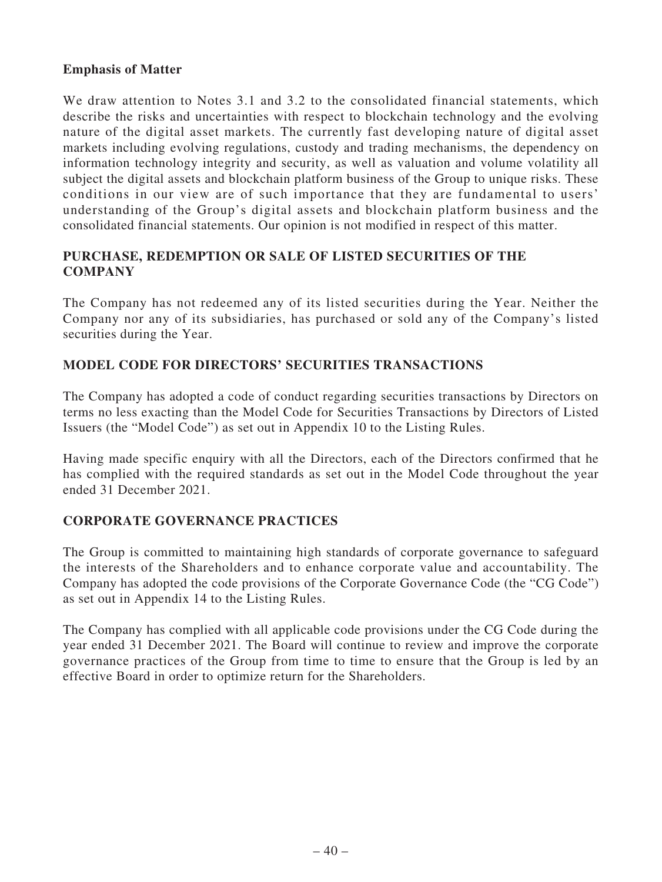# **Emphasis of Matter**

We draw attention to Notes 3.1 and 3.2 to the consolidated financial statements, which describe the risks and uncertainties with respect to blockchain technology and the evolving nature of the digital asset markets. The currently fast developing nature of digital asset markets including evolving regulations, custody and trading mechanisms, the dependency on information technology integrity and security, as well as valuation and volume volatility all subject the digital assets and blockchain platform business of the Group to unique risks. These conditions in our view are of such importance that they are fundamental to users' understanding of the Group's digital assets and blockchain platform business and the consolidated financial statements. Our opinion is not modified in respect of this matter.

# **PURCHASE, REDEMPTION OR SALE OF LISTED SECURITIES OF THE COMPANY**

The Company has not redeemed any of its listed securities during the Year. Neither the Company nor any of its subsidiaries, has purchased or sold any of the Company's listed securities during the Year.

# **MODEL CODE FOR DIRECTORS' SECURITIES TRANSACTIONS**

The Company has adopted a code of conduct regarding securities transactions by Directors on terms no less exacting than the Model Code for Securities Transactions by Directors of Listed Issuers (the "Model Code") as set out in Appendix 10 to the Listing Rules.

Having made specific enquiry with all the Directors, each of the Directors confirmed that he has complied with the required standards as set out in the Model Code throughout the year ended 31 December 2021.

# **CORPORATE GOVERNANCE PRACTICES**

The Group is committed to maintaining high standards of corporate governance to safeguard the interests of the Shareholders and to enhance corporate value and accountability. The Company has adopted the code provisions of the Corporate Governance Code (the "CG Code") as set out in Appendix 14 to the Listing Rules.

The Company has complied with all applicable code provisions under the CG Code during the year ended 31 December 2021. The Board will continue to review and improve the corporate governance practices of the Group from time to time to ensure that the Group is led by an effective Board in order to optimize return for the Shareholders.